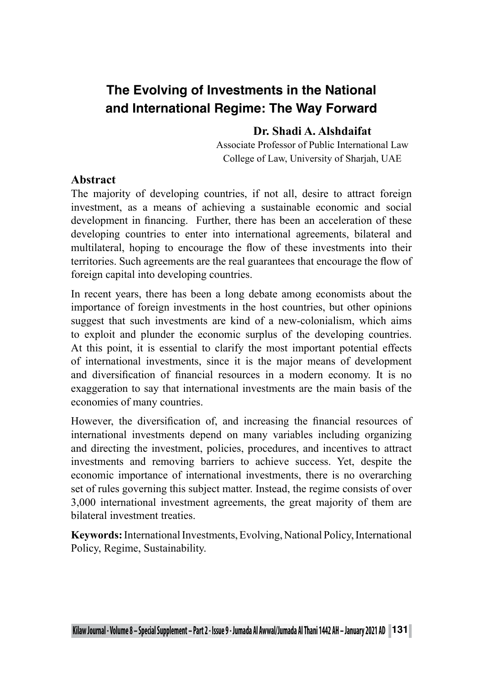# **The Evolving of Investments in the National and International Regime: The Way Forward**

#### **Dr. Shadi A. Alshdaifat**

Associate Professor of Public International Law College of Law, University of Sharjah, UAE

#### **Abstract**

The majority of developing countries, if not all, desire to attract foreign investment, as a means of achieving a sustainable economic and social development in financing. Further, there has been an acceleration of these developing countries to enter into international agreements, bilateral and multilateral, hoping to encourage the flow of these investments into their territories. Such agreements are the real guarantees that encourage the flow of foreign capital into developing countries.

In recent years, there has been a long debate among economists about the importance of foreign investments in the host countries, but other opinions suggest that such investments are kind of a new-colonialism, which aims to exploit and plunder the economic surplus of the developing countries. At this point, it is essential to clarify the most important potential effects of international investments, since it is the major means of development and diversification of financial resources in a modern economy. It is no exaggeration to say that international investments are the main basis of the economies of many countries.

However, the diversification of, and increasing the financial resources of international investments depend on many variables including organizing and directing the investment, policies, procedures, and incentives to attract investments and removing barriers to achieve success. Yet, despite the economic importance of international investments, there is no overarching set of rules governing this subject matter. Instead, the regime consists of over 3,000 international investment agreements, the great majority of them are bilateral investment treaties.

**Keywords:** International Investments, Evolving, National Policy, International Policy, Regime, Sustainability.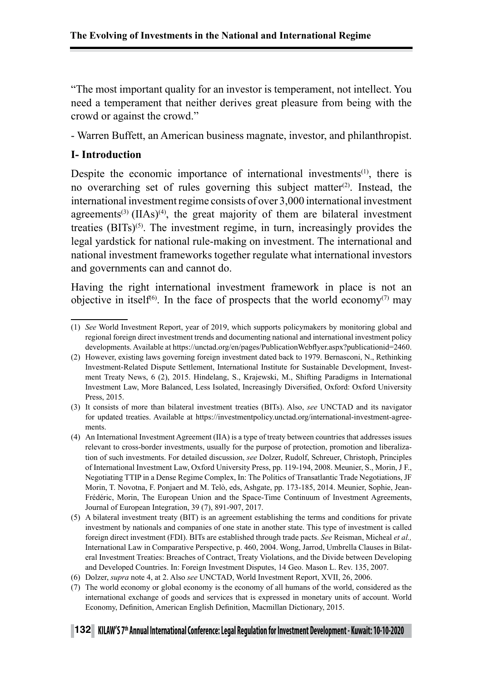"The most important quality for an investor is temperament, not intellect. You need a temperament that neither derives great pleasure from being with the crowd or against the crowd."

- Warren Buffett, an American business magnate, investor, and philanthropist.

#### **I- Introduction**

Despite the economic importance of international investments<sup> $(1)$ </sup>, there is no overarching set of rules governing this subject matter<sup>(2)</sup>. Instead, the international investment regime consists of over 3,000 international investment agreements<sup>(3)</sup> (IIAs)<sup>(4)</sup>, the great majority of them are bilateral investment treaties  $(BITs)^{(5)}$ . The investment regime, in turn, increasingly provides the legal yardstick for national rule-making on investment. The international and national investment frameworks together regulate what international investors and governments can and cannot do.

Having the right international investment framework in place is not an objective in itself<sup>(6)</sup>. In the face of prospects that the world economy<sup>(7)</sup> may

<sup>(1)</sup> *See* World Investment Report, year of 2019, which supports policymakers by monitoring global and regional foreign direct investment trends and documenting national and international investment policy developments. Available at https://unctad.org/en/pages/PublicationWebflyer.aspx?publicationid=2460.

<sup>(2)</sup> However, existing laws governing foreign investment dated back to 1979. Bernasconi, N., Rethinking Investment-Related Dispute Settlement, International Institute for Sustainable Development, Investment Treaty News, 6 (2), 2015. Hindelang, S., Krajewski, M., Shifting Paradigms in International Investment Law, More Balanced, Less Isolated, Increasingly Diversified, Oxford: Oxford University Press, 2015.

<sup>(3)</sup> It consists of more than bilateral investment treaties (BITs). Also, *see* UNCTAD and its navigator for updated treaties. Available at https://investmentpolicy.unctad.org/international-investment-agreements.

<sup>(4)</sup> An International Investment Agreement (IIA) is a type of treaty between countries that addresses issues relevant to cross-border investments, usually for the purpose of protection, promotion and liberalization of such investments. For detailed discussion, *see* Dolzer, Rudolf, Schreuer, Christoph, Principles of International Investment Law, Oxford University Press, pp. 119-194, 2008. Meunier, S., Morin, J F., Negotiating TTIP in a Dense Regime Complex, In: The Politics of Transatlantic Trade Negotiations, JF Morin, T. Novotna, F. Ponjaert and M. Telò, eds, Ashgate, pp. 173-185, 2014. Meunier, Sophie, Jean-Frédéric, Morin, The European Union and the Space-Time Continuum of Investment Agreements, Journal of European Integration, 39 (7), 891-907, 2017.

<sup>(5)</sup> A bilateral investment treaty (BIT) is an agreement establishing the terms and conditions for private investment by nationals and companies of one state in another state. This type of investment is called foreign direct investment (FDI). BITs are established through trade pacts. *See* Reisman, Micheal *et al.,* International Law in Comparative Perspective, p. 460, 2004. Wong, Jarrod, Umbrella Clauses in Bilateral Investment Treaties: Breaches of Contract, Treaty Violations, and the Divide between Developing and Developed Countries. In: Foreign Investment Disputes, 14 Geo. Mason L. Rev. 135, 2007.

<sup>(6)</sup> Dolzer, *supra* note 4, at 2. Also *see* UNCTAD, World Investment Report, XVII, 26, 2006.

<sup>(7)</sup> The world economy or global economy is the economy of all humans of the world, considered as the international exchange of goods and services that is expressed in monetary units of account. World Economy, Definition, American English Definition, Macmillan Dictionary, 2015.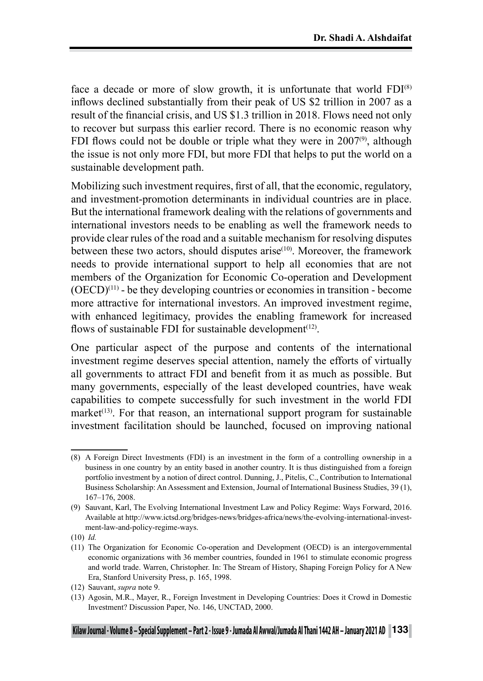face a decade or more of slow growth, it is unfortunate that world  $FDI^{(8)}$ inflows declined substantially from their peak of US \$2 trillion in 2007 as a result of the financial crisis, and US \$1.3 trillion in 2018. Flows need not only to recover but surpass this earlier record. There is no economic reason why FDI flows could not be double or triple what they were in  $2007<sup>(9)</sup>$ , although the issue is not only more FDI, but more FDI that helps to put the world on a sustainable development path.

Mobilizing such investment requires, first of all, that the economic, regulatory, and investment-promotion determinants in individual countries are in place. But the international framework dealing with the relations of governments and international investors needs to be enabling as well the framework needs to provide clear rules of the road and a suitable mechanism for resolving disputes between these two actors, should disputes arise $(10)$ . Moreover, the framework needs to provide international support to help all economies that are not members of the Organization for Economic Co-operation and Development  $(OECD)^{(11)}$  - be they developing countries or economies in transition - become more attractive for international investors. An improved investment regime, with enhanced legitimacy, provides the enabling framework for increased flows of sustainable FDI for sustainable development<sup> $(12)$ </sup>.

One particular aspect of the purpose and contents of the international investment regime deserves special attention, namely the efforts of virtually all governments to attract FDI and benefit from it as much as possible. But many governments, especially of the least developed countries, have weak capabilities to compete successfully for such investment in the world FDI market<sup> $(13)$ </sup>. For that reason, an international support program for sustainable investment facilitation should be launched, focused on improving national

<sup>(8)</sup> A Foreign Direct Investments (FDI) is an investment in the form of a controlling ownership in a business in one country by an entity based in another country. It is thus distinguished from a foreign portfolio investment by a notion of direct control. Dunning, J., Pitelis, C., Contribution to International Business Scholarship: An Assessment and Extension, Journal of International Business Studies, 39 (1), 167–176, 2008.

<sup>(9)</sup> Sauvant, Karl, The Evolving International Investment Law and Policy Regime: Ways Forward, 2016. Available at http://www.ictsd.org/bridges-news/bridges-africa/news/the-evolving-international-investment-law-and-policy-regime-ways.

<sup>(10)</sup> *Id.*

<sup>(11)</sup> The Organization for Economic Co-operation and Development (OECD) is an intergovernmental economic organizations with 36 member countries, founded in 1961 to stimulate economic progress and world trade. Warren, Christopher. In: The Stream of History, Shaping Foreign Policy for A New Era, Stanford University Press, p. 165, 1998.

<sup>(12)</sup> Sauvant, *supra* note 9.

<sup>(13)</sup> Agosin, M.R., Mayer, R., Foreign Investment in Developing Countries: Does it Crowd in Domestic Investment? Discussion Paper, No. 146, UNCTAD, 2000.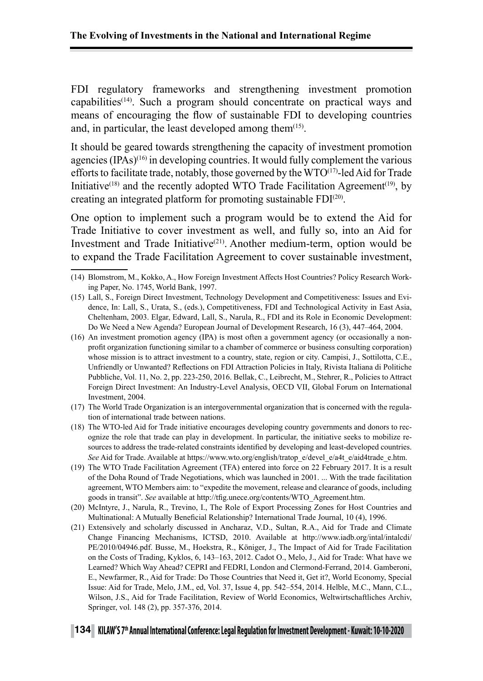FDI regulatory frameworks and strengthening investment promotion capabilities(14). Such a program should concentrate on practical ways and means of encouraging the flow of sustainable FDI to developing countries and, in particular, the least developed among them $(15)$ .

It should be geared towards strengthening the capacity of investment promotion agencies (IPAs)(16) in developing countries. It would fully complement the various efforts to facilitate trade, notably, those governed by the  $WTO^{(17)}$ -led Aid for Trade Initiative<sup> $(18)$ </sup> and the recently adopted WTO Trade Facilitation Agreement<sup> $(19)$ </sup>, by creating an integrated platform for promoting sustainable FDI(20).

One option to implement such a program would be to extend the Aid for Trade Initiative to cover investment as well, and fully so, into an Aid for Investment and Trade Initiative<sup>(21)</sup>. Another medium-term, option would be to expand the Trade Facilitation Agreement to cover sustainable investment,

- (17) The World Trade Organization is an intergovernmental organization that is concerned with the regulation of international trade between nations.
- (18) The WTO-led Aid for Trade initiative encourages developing country governments and donors to recognize the role that trade can play in development. In particular, the initiative seeks to mobilize resources to address the trade-related constraints identified by developing and least-developed countries. *See* Aid for Trade. Available at https://www.wto.org/english/tratop\_e/devel\_e/a4t\_e/aid4trade\_e.htm.
- (19) The WTO Trade Facilitation Agreement (TFA) entered into force on 22 February 2017. It is a result of the Doha Round of Trade Negotiations, which was launched in 2001. ... With the trade facilitation agreement, WTO Members aim: to "expedite the movement, release and clearance of goods, including goods in transit". *See* available at http://tfig.unece.org/contents/WTO\_Agreement.htm.
- (20) McIntyre, J., Narula, R., Trevino, I., The Role of Export Processing Zones for Host Countries and Multinational: A Mutually Beneficial Relationship? International Trade Journal, 10 (4), 1996.
- (21) Extensively and scholarly discussed in Ancharaz, V.D., Sultan, R.A., Aid for Trade and Climate Change Financing Mechanisms, ICTSD, 2010. Available at http://www.iadb.org/intal/intalcdi/ PE/2010/04946.pdf. Busse, M., Hoekstra, R., Königer, J., The Impact of Aid for Trade Facilitation on the Costs of Trading, Kyklos, 6, 143–163, 2012. Cadot O., Melo, J., Aid for Trade: What have we Learned? Which Way Ahead? CEPRI and FEDRI, London and Clermond-Ferrand, 2014. Gamberoni, E., Newfarmer, R., Aid for Trade: Do Those Countries that Need it, Get it?, World Economy, Special Issue: Aid for Trade, Melo, J.M., ed, Vol. 37, Issue 4, pp. 542–554, 2014. Helble, M.C., Mann, C.L., Wilson, J.S., Aid for Trade Facilitation, Review of World Economics, Weltwirtschaftliches Archiv, Springer, vol. 148 (2), pp. 357-376, 2014.

## **<sup>134</sup> KILAW, S 7th Annual International Conference: Legal Regulation for Investment Development - Kuwait: 10-10-2020**

<sup>(14)</sup> Blomstrom, M., Kokko, A., How Foreign Investment Affects Host Countries? Policy Research Working Paper, No. 1745, World Bank, 1997.

<sup>(15)</sup> Lall, S., Foreign Direct Investment, Technology Development and Competitiveness: Issues and Evidence, In: Lall, S., Urata, S., (eds.), Competitiveness, FDI and Technological Activity in East Asia, Cheltenham, 2003. Elgar, Edward, Lall, S., Narula, R., FDI and its Role in Economic Development: Do We Need a New Agenda? European Journal of Development Research, 16 (3), 447–464, 2004.

<sup>(16)</sup> An investment promotion agency (IPA) is most often a government agency (or occasionally a nonprofit organization functioning similar to a chamber of commerce or business consulting corporation) whose mission is to attract investment to a country, state, region or city. Campisi, J., Sottilotta, C.E., Unfriendly or Unwanted? Reflections on FDI Attraction Policies in Italy, Rivista Italiana di Politiche Pubbliche, Vol. 11, No. 2, pp. 223-250, 2016. Bellak, C., Leibrecht, M., Stehrer, R., Policies to Attract Foreign Direct Investment: An Industry-Level Analysis, OECD VII, Global Forum on International Investment, 2004.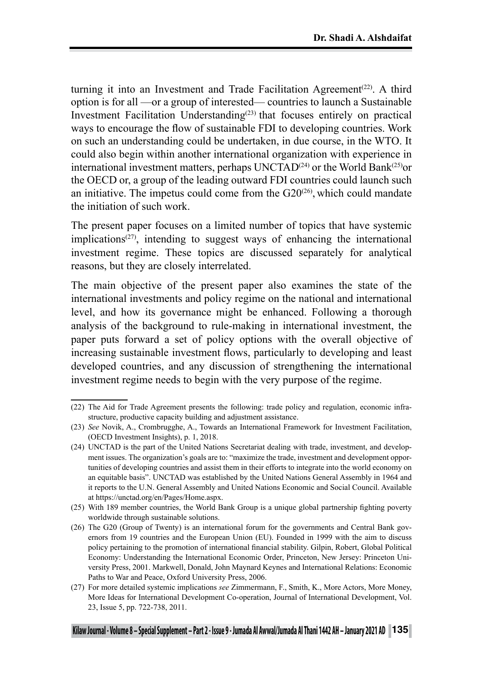turning it into an Investment and Trade Facilitation Agreement<sup> $(22)$ </sup>. A third option is for all —or a group of interested— countries to launch a Sustainable Investment Facilitation Understanding<sup>(23)</sup> that focuses entirely on practical ways to encourage the flow of sustainable FDI to developing countries. Work on such an understanding could be undertaken, in due course, in the WTO. It could also begin within another international organization with experience in international investment matters, perhaps  $UNCTAD<sup>(24)</sup>$  or the World Bank<sup>(25)</sup>or the OECD or, a group of the leading outward FDI countries could launch such an initiative. The impetus could come from the  $G20^{(26)}$ , which could mandate the initiation of such work.

The present paper focuses on a limited number of topics that have systemic implications<sup> $(27)$ </sup>, intending to suggest ways of enhancing the international investment regime. These topics are discussed separately for analytical reasons, but they are closely interrelated.

The main objective of the present paper also examines the state of the international investments and policy regime on the national and international level, and how its governance might be enhanced. Following a thorough analysis of the background to rule-making in international investment, the paper puts forward a set of policy options with the overall objective of increasing sustainable investment flows, particularly to developing and least developed countries, and any discussion of strengthening the international investment regime needs to begin with the very purpose of the regime.

<sup>(22)</sup> The Aid for Trade Agreement presents the following: trade policy and regulation, economic infrastructure, productive capacity building and adjustment assistance.

<sup>(23)</sup> *See* Novik, A., Crombrugghe, A., Towards an International Framework for Investment Facilitation, (OECD Investment Insights), p. 1, 2018.

<sup>(24)</sup> UNCTAD is the part of the United Nations Secretariat dealing with trade, investment, and development issues. The organization's goals are to: "maximize the trade, investment and development opportunities of developing countries and assist them in their efforts to integrate into the world economy on an equitable basis". UNCTAD was established by the United Nations General Assembly in 1964 and it reports to the U.N. General Assembly and United Nations Economic and Social Council. Available at https://unctad.org/en/Pages/Home.aspx.

<sup>(25)</sup> With 189 member countries, the World Bank Group is a unique global partnership fighting poverty worldwide through sustainable solutions.

<sup>(26)</sup> The G20 (Group of Twenty) is an international forum for the governments and Central Bank governors from 19 countries and the European Union (EU). Founded in 1999 with the aim to discuss policy pertaining to the promotion of international financial stability. Gilpin, Robert, Global Political Economy: Understanding the International Economic Order, Princeton, New Jersey: Princeton University Press, 2001. Markwell, Donald, John Maynard Keynes and International Relations: Economic Paths to War and Peace, Oxford University Press, 2006.

<sup>(27)</sup> For more detailed systemic implications *see* Zimmermann, F., Smith, K., More Actors, More Money, More Ideas for International Development Co-operation, Journal of International Development, Vol. 23, Issue 5, pp. 722-738, 2011.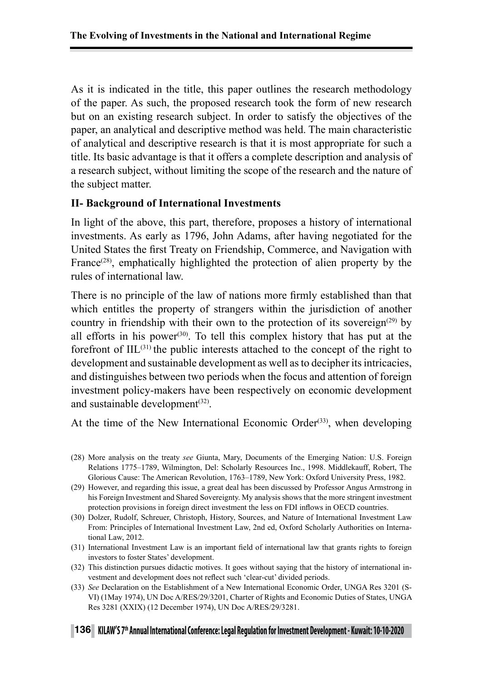As it is indicated in the title, this paper outlines the research methodology of the paper. As such, the proposed research took the form of new research but on an existing research subject. In order to satisfy the objectives of the paper, an analytical and descriptive method was held. The main characteristic of analytical and descriptive research is that it is most appropriate for such a title. Its basic advantage is that it offers a complete description and analysis of a research subject, without limiting the scope of the research and the nature of the subject matter.

#### **II- Background of International Investments**

In light of the above, this part, therefore, proposes a history of international investments. As early as 1796, John Adams, after having negotiated for the United States the first Treaty on Friendship, Commerce, and Navigation with France<sup> $(28)$ </sup>, emphatically highlighted the protection of alien property by the rules of international law.

There is no principle of the law of nations more firmly established than that which entitles the property of strangers within the jurisdiction of another country in friendship with their own to the protection of its sovereign<sup>(29)</sup> by all efforts in his power<sup>(30)</sup>. To tell this complex history that has put at the forefront of  $\text{IIL}^{(31)}$  the public interests attached to the concept of the right to development and sustainable development as well as to decipher its intricacies, and distinguishes between two periods when the focus and attention of foreign investment policy-makers have been respectively on economic development and sustainable development<sup>(32)</sup>.

At the time of the New International Economic Order<sup> $(33)$ </sup>, when developing

- (28) More analysis on the treaty *see* Giunta, Mary, Documents of the Emerging Nation: U.S. Foreign Relations 1775–1789, Wilmington, Del: Scholarly Resources Inc., 1998. Middlekauff, Robert, The Glorious Cause: The American Revolution, 1763–1789, New York: Oxford University Press, 1982.
- (29) However, and regarding this issue, a great deal has been discussed by Professor Angus Armstrong in his Foreign Investment and Shared Sovereignty. My analysis shows that the more stringent investment protection provisions in foreign direct investment the less on FDI inflows in OECD countries.
- (30) Dolzer, Rudolf, Schreuer, Christoph, History, Sources, and Nature of International Investment Law From: Principles of International Investment Law, 2nd ed, Oxford Scholarly Authorities on International Law, 2012.
- (31) International Investment Law is an important field of international law that grants rights to foreign investors to foster States' development.
- (32) This distinction pursues didactic motives. It goes without saying that the history of international investment and development does not reflect such 'clear-cut' divided periods.
- (33) *See* Declaration on the Establishment of a New International Economic Order, UNGA Res 3201 (S-VI) (1May 1974), UN Doc A/RES/29/3201, Charter of Rights and Economic Duties of States, UNGA Res 3281 (XXIX) (12 December 1974), UN Doc A/RES/29/3281.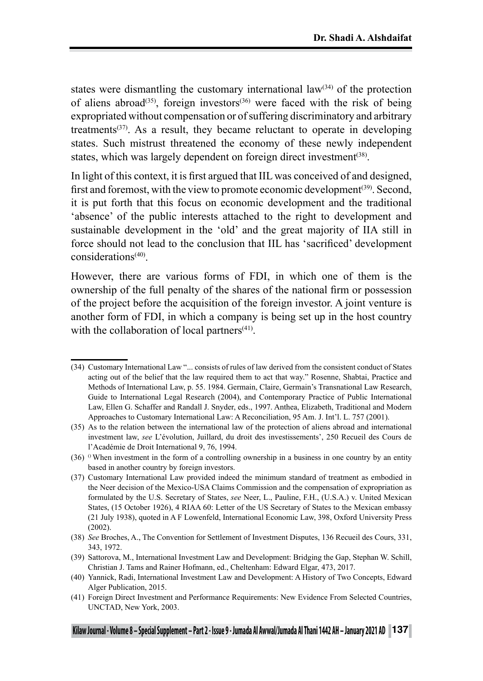states were dismantling the customary international  $law<sup>(34)</sup>$  of the protection of aliens abroad<sup>(35)</sup>, foreign investors<sup>(36)</sup> were faced with the risk of being expropriated without compensation or of suffering discriminatory and arbitrary treatments<sup> $(37)$ </sup>. As a result, they became reluctant to operate in developing states. Such mistrust threatened the economy of these newly independent states, which was largely dependent on foreign direct investment<sup>(38)</sup>.

In light of this context, it is first argued that IIL was conceived of and designed, first and foremost, with the view to promote economic development<sup>(39)</sup>. Second, it is put forth that this focus on economic development and the traditional 'absence' of the public interests attached to the right to development and sustainable development in the 'old' and the great majority of IIA still in force should not lead to the conclusion that IIL has 'sacrificed' development considerations(40).

However, there are various forms of FDI, in which one of them is the ownership of the full penalty of the shares of the national firm or possession of the project before the acquisition of the foreign investor. A joint venture is another form of FDI, in which a company is being set up in the host country with the collaboration of local partners $(41)$ .

<sup>(34)</sup> Customary International Law "... consists of rules of law derived from the consistent conduct of States acting out of the belief that the law required them to act that way." Rosenne, Shabtai, Practice and Methods of International Law, p. 55. 1984. Germain, Claire, Germain's Transnational Law Research, Guide to International Legal Research (2004), and Contemporary Practice of Public International Law, Ellen G. Schaffer and Randall J. Snyder, eds., 1997. Anthea, Elizabeth, Traditional and Modern Approaches to Customary International Law: A Reconciliation, 95 Am. J. Int'l. L. 757 (2001).

<sup>(35)</sup> As to the relation between the international law of the protection of aliens abroad and international investment law, *see* L'évolution, Juillard, du droit des investissements', 250 Recueil des Cours de l'Académie de Droit International 9, 76, 1994.

<sup>(36)</sup>  $\degree$  When investment in the form of a controlling ownership in a business in one country by an entity based in another country by foreign investors.

<sup>(37)</sup> Customary International Law provided indeed the minimum standard of treatment as embodied in the Neer decision of the Mexico-USA Claims Commission and the compensation of expropriation as formulated by the U.S. Secretary of States, *see* Neer, L., Pauline, F.H., (U.S.A.) v. United Mexican States, (15 October 1926), 4 RIAA 60: Letter of the US Secretary of States to the Mexican embassy (21 July 1938), quoted in A F Lowenfeld, International Economic Law, 398, Oxford University Press (2002).

<sup>(38)</sup> *See* Broches, A., The Convention for Settlement of Investment Disputes, 136 Recueil des Cours, 331, 343, 1972.

<sup>(39)</sup> Sattorova, M., International Investment Law and Development: Bridging the Gap, Stephan W. Schill, Christian J. Tams and Rainer Hofmann, ed., Cheltenham: Edward Elgar, 473, 2017.

<sup>(40)</sup> Yannick, Radi, International Investment Law and Development: A History of Two Concepts, Edward Alger Publication, 2015.

<sup>(41)</sup> Foreign Direct Investment and Performance Requirements: New Evidence From Selected Countries, UNCTAD, New York, 2003.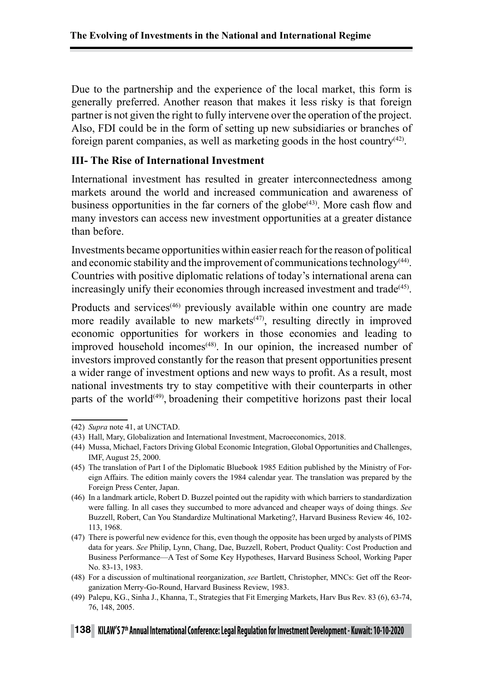Due to the partnership and the experience of the local market, this form is generally preferred. Another reason that makes it less risky is that foreign partner is not given the right to fully intervene over the operation of the project. Also, FDI could be in the form of setting up new subsidiaries or branches of foreign parent companies, as well as marketing goods in the host country $(42)$ .

#### **III- The Rise of International Investment**

International investment has resulted in greater interconnectedness among markets around the world and increased communication and awareness of business opportunities in the far corners of the globe<sup> $(43)$ </sup>. More cash flow and many investors can access new investment opportunities at a greater distance than before.

Investments became opportunities within easier reach for the reason of political and economic stability and the improvement of communications technology<sup>(44)</sup>. Countries with positive diplomatic relations of today's international arena can increasingly unify their economies through increased investment and trade<sup>(45)</sup>.

Products and services<sup>(46)</sup> previously available within one country are made more readily available to new markets<sup> $(47)$ </sup>, resulting directly in improved economic opportunities for workers in those economies and leading to improved household incomes<sup>(48)</sup>. In our opinion, the increased number of investors improved constantly for the reason that present opportunities present a wider range of investment options and new ways to profit. As a result, most national investments try to stay competitive with their counterparts in other parts of the world $(49)$ , broadening their competitive horizons past their local

<sup>(42)</sup> *Supra* note 41, at UNCTAD.

<sup>(43)</sup> Hall, Mary, Globalization and International Investment, Macroeconomics, 2018.

<sup>(44)</sup> Mussa, Michael, Factors Driving Global Economic Integration, Global Opportunities and Challenges, IMF, August 25, 2000.

<sup>(45)</sup> The translation of Part I of the Diplomatic Bluebook 1985 Edition published by the Ministry of Foreign Affairs. The edition mainly covers the 1984 calendar year. The translation was prepared by the Foreign Press Center, Japan.

<sup>(46)</sup> In a landmark article, Robert D. Buzzel pointed out the rapidity with which barriers to standardization were falling. In all cases they succumbed to more advanced and cheaper ways of doing things. *See* Buzzell, Robert, Can You Standardize Multinational Marketing?, Harvard Business Review 46, 102- 113, 1968.

<sup>(47)</sup> There is powerful new evidence for this, even though the opposite has been urged by analysts of PIMS data for years. *See* Philip, Lynn, Chang, Dae, Buzzell, Robert, Product Quality: Cost Production and Business Performance—A Test of Some Key Hypotheses, Harvard Business School, Working Paper No. 83-13, 1983.

<sup>(48)</sup> For a discussion of multinational reorganization, *see* Bartlett, Christopher, MNCs: Get off the Reorganization Merry-Go-Round, Harvard Business Review, 1983.

<sup>(49)</sup> Palepu, KG., Sinha J., Khanna, T., Strategies that Fit Emerging Markets, Harv Bus Rev. 83 (6), 63-74, 76, 148, 2005.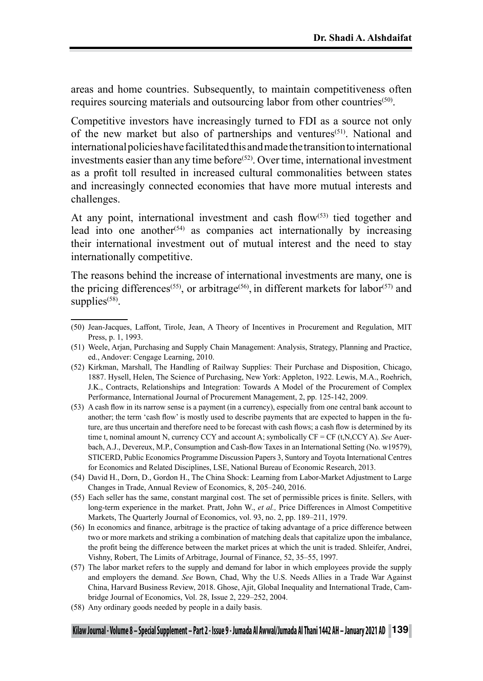areas and home countries. Subsequently, to maintain competitiveness often requires sourcing materials and outsourcing labor from other countries<sup>(50)</sup>.

Competitive investors have increasingly turned to FDI as a source not only of the new market but also of partnerships and ventures<sup>(51)</sup>. National and international policies have facilitated this and made the transition to international investments easier than any time before<sup> $(52)$ </sup>. Over time, international investment as a profit toll resulted in increased cultural commonalities between states and increasingly connected economies that have more mutual interests and challenges.

At any point, international investment and cash flow $(53)$  tied together and lead into one another<sup> $(54)$ </sup> as companies act internationally by increasing their international investment out of mutual interest and the need to stay internationally competitive.

The reasons behind the increase of international investments are many, one is the pricing differences<sup>(55)</sup>, or arbitrage<sup>(56)</sup>, in different markets for labor<sup>(57)</sup> and supplies $(58)$ .

(53) A cash flow in its narrow sense is a payment (in a currency), especially from one central bank account to another; the term 'cash flow' is mostly used to describe payments that are expected to happen in the future, are thus uncertain and therefore need to be forecast with cash flows; a cash flow is determined by its time t, nominal amount N, currency CCY and account A; symbolically CF = CF (t,N,CCY A). *See* Auerbach, A.J., Devereux, M.P., Consumption and Cash-flow Taxes in an International Setting (No. w19579), STICERD, Public Economics Programme Discussion Papers 3, Suntory and Toyota International Centres for Economics and Related Disciplines, LSE, National Bureau of Economic Research, 2013.

- (55) Each seller has the same, constant marginal cost. The set of permissible prices is finite. Sellers, with long-term experience in the market. Pratt, John W., *et al.,* Price Differences in Almost Competitive Markets, The Quarterly Journal of Economics, vol. 93, no. 2, pp. 189–211, 1979.
- (56) In economics and finance, arbitrage is the practice of taking advantage of a price difference between two or more markets and striking a combination of matching deals that capitalize upon the imbalance, the profit being the difference between the market prices at which the unit is traded. Shleifer, Andrei, Vishny, Robert, The Limits of Arbitrage, Journal of Finance, 52, 35–55, 1997.
- (57) The labor market refers to the supply and demand for labor in which employees provide the supply and employers the demand. *See* Bown, Chad, Why the U.S. Needs Allies in a Trade War Against China, Harvard Business Review, 2018. Ghose, Ajit, Global Inequality and International Trade, Cambridge Journal of Economics, Vol. 28, Issue 2, 229–252, 2004.
- (58) Any ordinary goods needed by people in a daily basis.

<sup>(50)</sup> Jean-Jacques, Laffont, Tirole, Jean, A Theory of Incentives in Procurement and Regulation, MIT Press, p. 1, 1993.

<sup>(51)</sup> Weele, Arjan, Purchasing and Supply Chain Management: Analysis, Strategy, Planning and Practice, ed., Andover: Cengage Learning, 2010.

<sup>(52)</sup> Kirkman, Marshall, The Handling of Railway Supplies: Their Purchase and Disposition, Chicago, 1887. Hysell, Helen, The Science of Purchasing, New York: Appleton, 1922. Lewis, M.A., Roehrich, J.K., Contracts, Relationships and Integration: Towards A Model of the Procurement of Complex Performance, International Journal of Procurement Management, 2, pp. 125-142, 2009.

<sup>(54)</sup> David H., Dorn, D., Gordon H., The China Shock: Learning from Labor-Market Adjustment to Large Changes in Trade, Annual Review of Economics, 8, 205–240, 2016.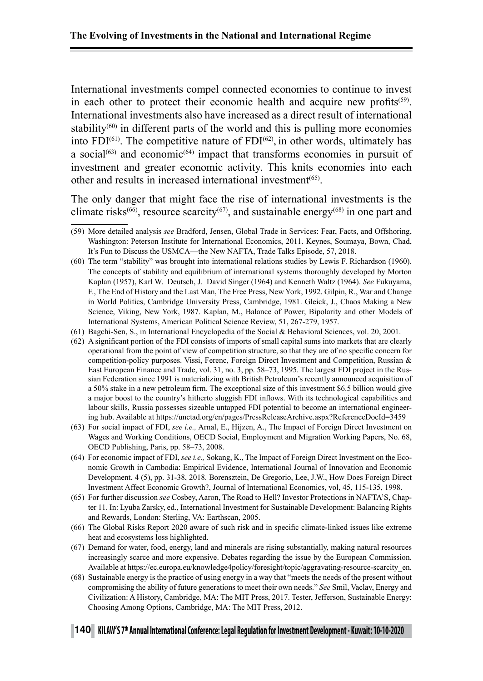International investments compel connected economies to continue to invest in each other to protect their economic health and acquire new profits<sup> $(59)$ </sup>. International investments also have increased as a direct result of international stability<sup> $(60)$ </sup> in different parts of the world and this is pulling more economies into  $FDI<sup>(61)</sup>$ . The competitive nature of  $FDI<sup>(62)</sup>$ , in other words, ultimately has a social<sup> $(63)$ </sup> and economic<sup> $(64)$ </sup> impact that transforms economies in pursuit of investment and greater economic activity. This knits economies into each other and results in increased international investment<sup> $(65)$ </sup>.

The only danger that might face the rise of international investments is the climate risks<sup>(66)</sup>, resource scarcity<sup>(67)</sup>, and sustainable energy<sup>(68)</sup> in one part and

- (60) The term "stability" was brought into international relations studies by Lewis F. Richardson (1960). The concepts of stability and equilibrium of international systems thoroughly developed by Morton Kaplan (1957), Karl W. Deutsch, J. David Singer (1964) and Kenneth Waltz (1964). *See* Fukuyama, F., The End of History and the Last Man, The Free Press, New York, 1992. Gilpin, R., War and Change in World Politics, Cambridge University Press, Cambridge, 1981. Gleick, J., Chaos Making a New Science, Viking, New York, 1987. Kaplan, M., Balance of Power, Bipolarity and other Models of International Systems, American Political Science Review, 51, 267-279, 1957.
- (61) Bagchi-Sen, S., in International Encyclopedia of the Social & Behavioral Sciences, vol. 20, 2001.
- (62) A significant portion of the FDI consists of imports of small capital sums into markets that are clearly operational from the point of view of competition structure, so that they are of no specific concern for competition-policy purposes. Vissi, Ferenc, Foreign Direct Investment and Competition, Russian & East European Finance and Trade, vol. 31, no. 3, pp. 58–73, 1995. The largest FDI project in the Russian Federation since 1991 is materializing with British Petroleum's recently announced acquisition of a 50% stake in a new petroleum firm. The exceptional size of this investment \$6.5 billion would give a major boost to the country's hitherto sluggish FDI inflows. With its technological capabilities and labour skills, Russia possesses sizeable untapped FDI potential to become an international engineering hub. Available at https://unctad.org/en/pages/PressReleaseArchive.aspx?ReferenceDocId=3459
- (63) For social impact of FDI, *see i.e.,* Arnal, E., Hijzen, A., The Impact of Foreign Direct Investment on Wages and Working Conditions, OECD Social, Employment and Migration Working Papers, No. 68, OECD Publishing, Paris, pp. 58–73, 2008.
- (64) For economic impact of FDI, *see i.e.,* Sokang, K., The Impact of Foreign Direct Investment on the Economic Growth in Cambodia: Empirical Evidence, International Journal of Innovation and Economic Development, 4 (5), pp. 31-38, 2018. Borensztein, De Gregorio, Lee, J.W., How Does Foreign Direct Investment Affect Economic Growth?, Journal of International Economics, vol, 45, 115-135, 1998.
- (65) For further discussion *see* Cosbey, Aaron, The Road to Hell? Investor Protections in NAFTA'S, Chapter 11. In: Lyuba Zarsky, ed., International Investment for Sustainable Development: Balancing Rights and Rewards, London: Sterling, VA: Earthscan, 2005.
- (66) The Global Risks Report 2020 aware of such risk and in specific climate-linked issues like extreme heat and ecosystems loss highlighted.
- (67) Demand for water, food, energy, land and minerals are rising substantially, making natural resources increasingly scarce and more expensive. Debates regarding the issue by the European Commission. Available at https://ec.europa.eu/knowledge4policy/foresight/topic/aggravating-resource-scarcity\_en.
- (68) Sustainable energy is the practice of using energy in a way that "meets the needs of the present without compromising the ability of future generations to meet their own needs." *See* Smil, Vaclav, Energy and Civilization: A History, Cambridge, MA: The MIT Press, 2017. Tester, Jefferson, Sustainable Energy: Choosing Among Options, Cambridge, MA: The MIT Press, 2012.

## **<sup>140</sup> KILAW, S 7th Annual International Conference: Legal Regulation for Investment Development - Kuwait: 10-10-2020**

<sup>(59)</sup> More detailed analysis *see* Bradford, Jensen, Global Trade in Services: Fear, Facts, and Offshoring, Washington: Peterson Institute for International Economics, 2011. Keynes, Soumaya, Bown, Chad, It's Fun to Discuss the USMCA—the New NAFTA, Trade Talks Episode, 57, 2018.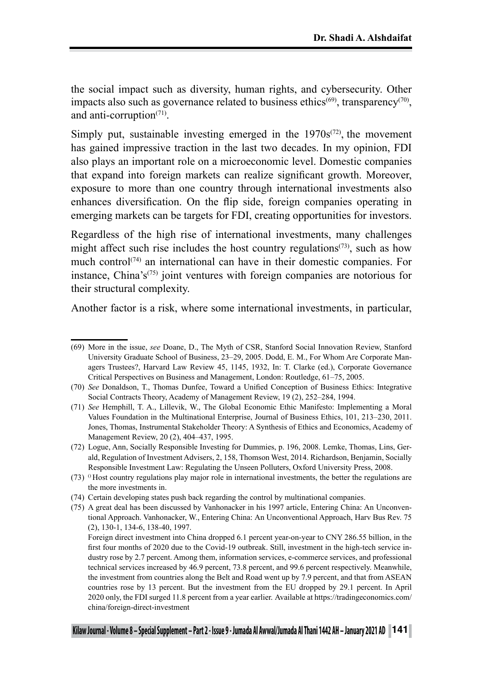the social impact such as diversity, human rights, and cybersecurity. Other impacts also such as governance related to business ethics<sup> $(69)$ </sup>, transparency<sup> $(70)$ </sup>, and anti-corruption<sup>(71)</sup>

Simply put, sustainable investing emerged in the  $1970s^{(72)}$ , the movement has gained impressive traction in the last two decades. In my opinion, FDI also plays an important role on a microeconomic level. Domestic companies that expand into foreign markets can realize significant growth. Moreover, exposure to more than one country through international investments also enhances diversification. On the flip side, foreign companies operating in emerging markets can be targets for FDI, creating opportunities for investors.

Regardless of the high rise of international investments, many challenges might affect such rise includes the host country regulations<sup> $(73)$ </sup>, such as how much control<sup> $(74)$ </sup> an international can have in their domestic companies. For instance, China's<sup>(75)</sup> joint ventures with foreign companies are notorious for their structural complexity.

Another factor is a risk, where some international investments, in particular,

<sup>(69)</sup> More in the issue, *see* Doane, D., The Myth of CSR, Stanford Social Innovation Review, Stanford University Graduate School of Business, 23–29, 2005. Dodd, E. M., For Whom Are Corporate Managers Trustees?, Harvard Law Review 45, 1145, 1932, In: T. Clarke (ed.), Corporate Governance Critical Perspectives on Business and Management, London: Routledge, 61–75, 2005.

<sup>(70)</sup> *See* Donaldson, T., Thomas Dunfee, Toward a Unified Conception of Business Ethics: Integrative Social Contracts Theory, Academy of Management Review, 19 (2), 252–284, 1994.

<sup>(71)</sup> *See* Hemphill, T. A., Lillevik, W., The Global Economic Ethic Manifesto: Implementing a Moral Values Foundation in the Multinational Enterprise, Journal of Business Ethics, 101, 213–230, 2011. Jones, Thomas, Instrumental Stakeholder Theory: A Synthesis of Ethics and Economics, Academy of Management Review, 20 (2), 404–437, 1995.

<sup>(72)</sup> Logue, Ann, Socially Responsible Investing for Dummies, p. 196, 2008. Lemke, Thomas, Lins, Gerald, Regulation of Investment Advisers, 2, 158, Thomson West, 2014. Richardson, Benjamin, Socially Responsible Investment Law: Regulating the Unseen Polluters, Oxford University Press, 2008.

 $(73)$  <sup>0</sup> Host country regulations play major role in international investments, the better the regulations are the more investments in.

<sup>(74)</sup> Certain developing states push back regarding the control by multinational companies.

<sup>(75)</sup> A great deal has been discussed by Vanhonacker in his 1997 article, Entering China: An Unconventional Approach. Vanhonacker, W., Entering China: An Unconventional Approach, Harv Bus Rev. 75 (2), 130-1, 134-6, 138-40, 1997.

Foreign direct investment into China dropped 6.1 percent year-on-year to CNY 286.55 billion, in the first four months of 2020 due to the Covid-19 outbreak. Still, investment in the high-tech service industry rose by 2.7 percent. Among them, information services, e-commerce services, and professional technical services increased by 46.9 percent, 73.8 percent, and 99.6 percent respectively. Meanwhile, the investment from countries along the Belt and Road went up by 7.9 percent, and that from ASEAN countries rose by 13 percent. But the investment from the EU dropped by 29.1 percent. In April 2020 only, the FDI surged 11.8 percent from a year earlier. Available at https://tradingeconomics.com/ china/foreign-direct-investment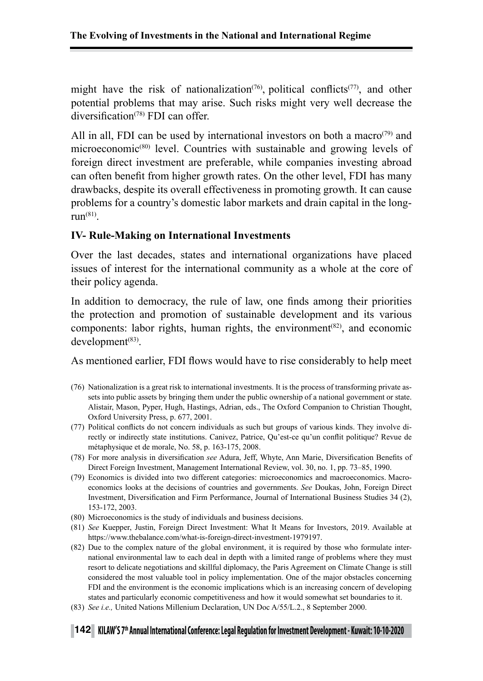might have the risk of nationalization<sup> $(76)$ </sup>, political conflicts<sup> $(77)$ </sup>, and other potential problems that may arise. Such risks might very well decrease the diversification<sup>(78)</sup> FDI can offer.

All in all, FDI can be used by international investors on both a macro<sup> $(79)$ </sup> and microeconomic(80) level. Countries with sustainable and growing levels of foreign direct investment are preferable, while companies investing abroad can often benefit from higher growth rates. On the other level, FDI has many drawbacks, despite its overall effectiveness in promoting growth. It can cause problems for a country's domestic labor markets and drain capital in the longrun $(81)$ .

#### **IV- Rule-Making on International Investments**

Over the last decades, states and international organizations have placed issues of interest for the international community as a whole at the core of their policy agenda.

In addition to democracy, the rule of law, one finds among their priorities the protection and promotion of sustainable development and its various components: labor rights, human rights, the environment<sup>(82)</sup>, and economic development<sup>(83)</sup>.

As mentioned earlier, FDI flows would have to rise considerably to help meet

- (76) Nationalization is a great risk to international investments. It is the process of transforming private assets into public assets by bringing them under the public ownership of a national government or state. Alistair, Mason, Pyper, Hugh, Hastings, Adrian, eds., The Oxford Companion to Christian Thought, Oxford University Press, p. 677, 2001.
- (77) Political conflicts do not concern individuals as such but groups of various kinds. They involve directly or indirectly state institutions. Canivez, Patrice, Qu'est-ce qu'un conflit politique? Revue de métaphysique et de morale, No. 58, p. 163-175, 2008.
- (78) For more analysis in diversification *see* Adura, Jeff, Whyte, Ann Marie, Diversification Benefits of Direct Foreign Investment, Management International Review, vol. 30, no. 1, pp. 73–85, 1990.
- (79) Economics is divided into two different categories: microeconomics and macroeconomics. Macroeconomics looks at the decisions of countries and governments. *See* Doukas, John, Foreign Direct Investment, Diversification and Firm Performance, Journal of International Business Studies 34 (2), 153-172, 2003.
- (80) Microeconomics is the study of individuals and business decisions.
- (81) *See* Kuepper, Justin, Foreign Direct Investment: What It Means for Investors, 2019. Available at https://www.thebalance.com/what-is-foreign-direct-investment-1979197.
- (82) Due to the complex nature of the global environment, it is required by those who formulate international environmental law to each deal in depth with a limited range of problems where they must resort to delicate negotiations and skillful diplomacy, the Paris Agreement on Climate Change is still considered the most valuable tool in policy implementation. One of the major obstacles concerning FDI and the environment is the economic implications which is an increasing concern of developing states and particularly economic competitiveness and how it would somewhat set boundaries to it.
- (83) *See i.e.,* United Nations Millenium Declaration, UN Doc A/55/L.2., 8 September 2000.

## **<sup>142</sup> KILAW, S 7th Annual International Conference: Legal Regulation for Investment Development - Kuwait: 10-10-2020**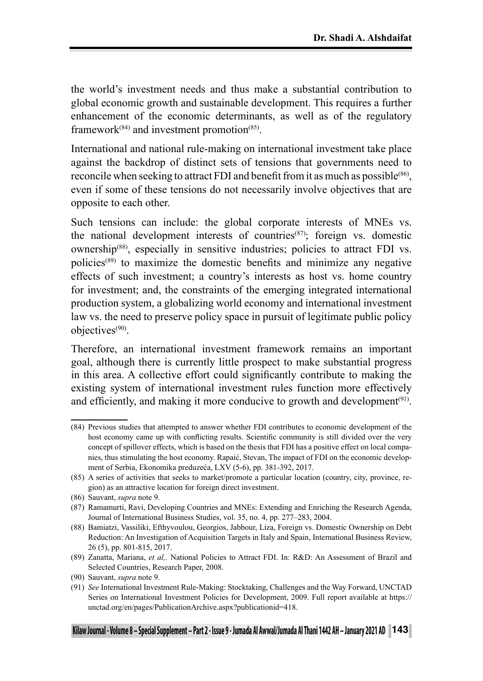the world's investment needs and thus make a substantial contribution to global economic growth and sustainable development. This requires a further enhancement of the economic determinants, as well as of the regulatory framework $(84)$  and investment promotion $(85)$ .

International and national rule-making on international investment take place against the backdrop of distinct sets of tensions that governments need to reconcile when seeking to attract FDI and benefit from it as much as possible<sup>(86)</sup>, even if some of these tensions do not necessarily involve objectives that are opposite to each other.

Such tensions can include: the global corporate interests of MNEs vs. the national development interests of countries(87); foreign vs. domestic ownership(88), especially in sensitive industries; policies to attract FDI vs. policies(89) to maximize the domestic benefits and minimize any negative effects of such investment; a country's interests as host vs. home country for investment; and, the constraints of the emerging integrated international production system, a globalizing world economy and international investment law vs. the need to preserve policy space in pursuit of legitimate public policy objectives(90).

Therefore, an international investment framework remains an important goal, although there is currently little prospect to make substantial progress in this area. A collective effort could significantly contribute to making the existing system of international investment rules function more effectively and efficiently, and making it more conducive to growth and development<sup>(91)</sup>.

<sup>(84)</sup> Previous studies that attempted to answer whether FDI contributes to economic development of the host economy came up with conflicting results. Scientific community is still divided over the very concept of spillover effects, which is based on the thesis that FDI has a positive effect on local companies, thus stimulating the host economy. Rapaić, Stevan, The impact of FDI on the economic development of Serbia, Ekonomika preduzeća, LXV (5-6), pp. 381-392, 2017.

<sup>(85)</sup> A series of activities that seeks to market/promote a particular location (country, city, province, region) as an attractive location for foreign direct investment.

<sup>(86)</sup> Sauvant, *supra* note 9.

<sup>(87)</sup> Ramamurti, Ravi, Developing Countries and MNEs: Extending and Enriching the Research Agenda, Journal of International Business Studies, vol. 35, no. 4, pp. 277–283, 2004.

<sup>(88)</sup> Bamiatzi, Vassiliki, Efthyvoulou, Georgios, Jabbour, Liza, Foreign vs. Domestic Ownership on Debt Reduction: An Investigation of Acquisition Targets in Italy and Spain, International Business Review, 26 (5), pp. 801-815, 2017.

<sup>(89)</sup> Zanatta, Mariana, *et al,.* National Policies to Attract FDI. In: R&D: An Assessment of Brazil and Selected Countries, Research Paper, 2008.

<sup>(90)</sup> Sauvant, *supra* note 9.

<sup>(91)</sup> *See* International Investment Rule-Making: Stocktaking, Challenges and the Way Forward, UNCTAD Series on International Investment Policies for Development, 2009. Full report available at https:// unctad.org/en/pages/PublicationArchive.aspx?publicationid=418.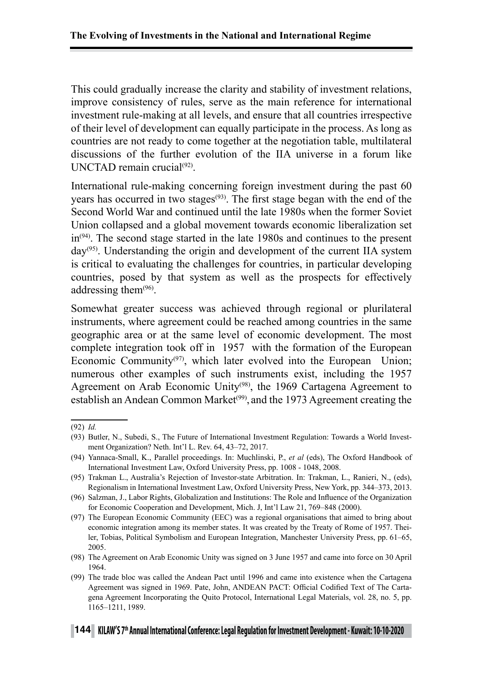This could gradually increase the clarity and stability of investment relations, improve consistency of rules, serve as the main reference for international investment rule-making at all levels, and ensure that all countries irrespective of their level of development can equally participate in the process. As long as countries are not ready to come together at the negotiation table, multilateral discussions of the further evolution of the IIA universe in a forum like UNCTAD remain crucial $(92)$ .

International rule-making concerning foreign investment during the past 60 years has occurred in two stages<sup>(93)</sup>. The first stage began with the end of the Second World War and continued until the late 1980s when the former Soviet Union collapsed and a global movement towards economic liberalization set in(94). The second stage started in the late 1980s and continues to the present  $dav^{(95)}$ . Understanding the origin and development of the current IIA system is critical to evaluating the challenges for countries, in particular developing countries, posed by that system as well as the prospects for effectively addressing them<sup>(96)</sup>.

Somewhat greater success was achieved through regional or plurilateral instruments, where agreement could be reached among countries in the same geographic area or at the same level of economic development. The most complete integration took off in 1957 with the formation of the European Economic Community<sup>(97)</sup>, which later evolved into the European Union; numerous other examples of such instruments exist, including the 1957 Agreement on Arab Economic Unity<sup>(98)</sup>, the 1969 Cartagena Agreement to establish an Andean Common Market<sup>(99)</sup>, and the 1973 Agreement creating the

<sup>(92)</sup> *Id.*

<sup>(93)</sup> Butler, N., Subedi, S., The Future of International Investment Regulation: Towards a World Investment Organization? Neth. Int'l L. Rev. 64, 43–72, 2017.

<sup>(94)</sup> Yannaca-Small, K., Parallel proceedings. In: Muchlinski, P., *et al* (eds), The Oxford Handbook of International Investment Law, Oxford University Press, pp. 1008 - 1048, 2008.

<sup>(95)</sup> Trakman L., Australia's Rejection of Investor-state Arbitration. In: Trakman, L., Ranieri, N., (eds), Regionalism in International Investment Law, Oxford University Press, New York, pp. 344–373, 2013.

<sup>(96)</sup> Salzman, J., Labor Rights, Globalization and Institutions: The Role and Influence of the Organization for Economic Cooperation and Development, Mich. J, Int'l Law 21, 769–848 (2000).

<sup>(97)</sup> The European Economic Community (EEC) was a regional organisations that aimed to bring about economic integration among its member states. It was created by the Treaty of Rome of 1957. Theiler, Tobias, Political Symbolism and European Integration, Manchester University Press, pp. 61–65, 2005.

<sup>(98)</sup> The Agreement on Arab Economic Unity was signed on 3 June 1957 and came into force on 30 April 1964.

<sup>(99)</sup> The trade bloc was called the Andean Pact until 1996 and came into existence when the Cartagena Agreement was signed in 1969. Pate, John, ANDEAN PACT: Official Codified Text of The Cartagena Agreement Incorporating the Quito Protocol, International Legal Materials, vol. 28, no. 5, pp. 1165–1211, 1989.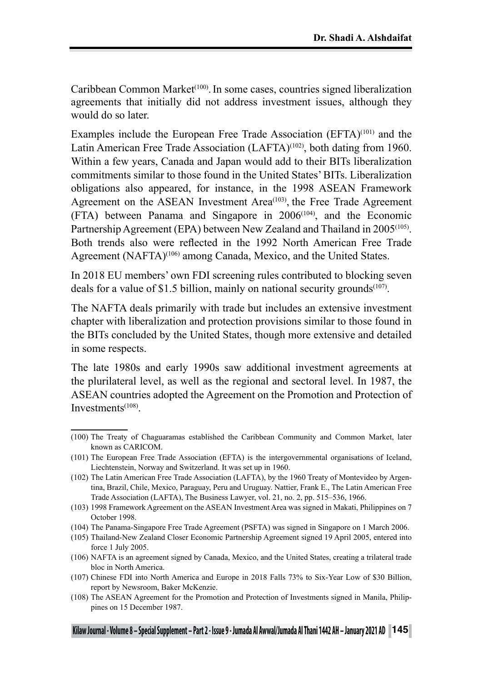Caribbean Common Market<sup>(100)</sup>. In some cases, countries signed liberalization agreements that initially did not address investment issues, although they would do so later.

Examples include the European Free Trade Association (EFTA)<sup>(101)</sup> and the Latin American Free Trade Association (LAFTA)<sup>(102)</sup>, both dating from 1960. Within a few years, Canada and Japan would add to their BITs liberalization commitments similar to those found in the United States' BITs. Liberalization obligations also appeared, for instance, in the 1998 ASEAN Framework Agreement on the ASEAN Investment Area<sup>(103)</sup>, the Free Trade Agreement (FTA) between Panama and Singapore in 2006(104), and the Economic Partnership Agreement (EPA) between New Zealand and Thailand in 2005<sup>(105)</sup>. Both trends also were reflected in the 1992 North American Free Trade Agreement (NAFTA)<sup>(106)</sup> among Canada, Mexico, and the United States.

In 2018 EU members' own FDI screening rules contributed to blocking seven deals for a value of \$1.5 billion, mainly on national security grounds<sup> $(107)$ </sup>.

The NAFTA deals primarily with trade but includes an extensive investment chapter with liberalization and protection provisions similar to those found in the BITs concluded by the United States, though more extensive and detailed in some respects.

The late 1980s and early 1990s saw additional investment agreements at the plurilateral level, as well as the regional and sectoral level. In 1987, the ASEAN countries adopted the Agreement on the Promotion and Protection of Investments(108).

(108) The ASEAN Agreement for the Promotion and Protection of Investments signed in Manila, Philippines on 15 December 1987.

<sup>(100)</sup> The Treaty of Chaguaramas established the Caribbean Community and Common Market, later known as CARICOM.

<sup>(101)</sup> The European Free Trade Association (EFTA) is the intergovernmental organisations of Iceland, Liechtenstein, Norway and Switzerland. It was set up in 1960.

<sup>(102)</sup> The Latin American Free Trade Association (LAFTA), by the 1960 Treaty of Montevideo by Argentina, Brazil, Chile, Mexico, Paraguay, Peru and Uruguay. Nattier, Frank E., The Latin American Free Trade Association (LAFTA), The Business Lawyer, vol. 21, no. 2, pp. 515–536, 1966.

<sup>(103)</sup> 1998 Framework Agreement on the ASEAN Investment Area was signed in Makati, Philippines on 7 October 1998.

<sup>(104)</sup> The Panama-Singapore Free Trade Agreement (PSFTA) was signed in Singapore on 1 March 2006.

<sup>(105)</sup> Thailand-New Zealand Closer Economic Partnership Agreement signed 19 April 2005, entered into force 1 July 2005.

<sup>(106)</sup> NAFTA is an agreement signed by Canada, Mexico, and the United States, creating a trilateral trade bloc in North America.

<sup>(107)</sup> Chinese FDI into North America and Europe in 2018 Falls 73% to Six-Year Low of \$30 Billion, report by Newsroom, Baker McKenzie.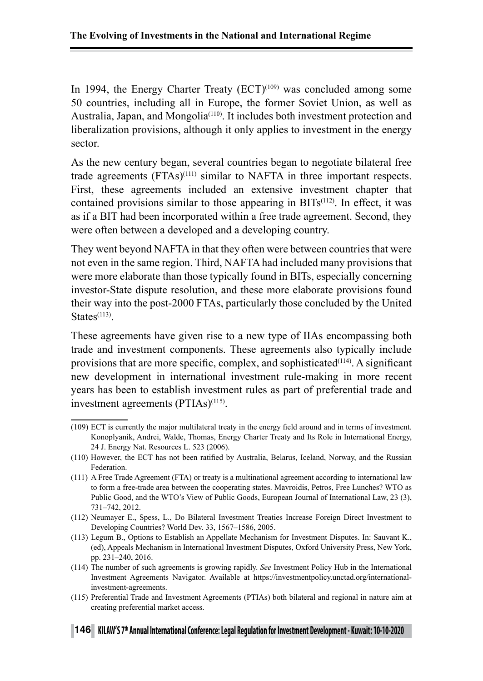In 1994, the Energy Charter Treaty  $(ECT)^{(109)}$  was concluded among some 50 countries, including all in Europe, the former Soviet Union, as well as Australia, Japan, and Mongolia<sup>(110)</sup>. It includes both investment protection and liberalization provisions, although it only applies to investment in the energy sector.

As the new century began, several countries began to negotiate bilateral free trade agreements (FTAs)(111) similar to NAFTA in three important respects. First, these agreements included an extensive investment chapter that contained provisions similar to those appearing in  $BITs<sup>(112)</sup>$ . In effect, it was as if a BIT had been incorporated within a free trade agreement. Second, they were often between a developed and a developing country.

They went beyond NAFTA in that they often were between countries that were not even in the same region. Third, NAFTA had included many provisions that were more elaborate than those typically found in BITs, especially concerning investor-State dispute resolution, and these more elaborate provisions found their way into the post-2000 FTAs, particularly those concluded by the United  $States<sup>(113)</sup>$ 

These agreements have given rise to a new type of IIAs encompassing both trade and investment components. These agreements also typically include provisions that are more specific, complex, and sophisticated<sup>(114)</sup>. A significant new development in international investment rule-making in more recent years has been to establish investment rules as part of preferential trade and investment agreements (PTIAs)<sup>(115)</sup>.

(115) Preferential Trade and Investment Agreements (PTIAs) both bilateral and regional in nature aim at creating preferential market access.

<sup>(109)</sup> ECT is currently the major multilateral treaty in the energy field around and in terms of investment. Konoplyanik, Andrei, Walde, Thomas, Energy Charter Treaty and Its Role in International Energy, 24 J. Energy Nat. Resources L. 523 (2006).

<sup>(110)</sup> However, the ECT has not been ratified by Australia, Belarus, Iceland, Norway, and the Russian Federation.

<sup>(111)</sup> A Free Trade Agreement (FTA) or treaty is a multinational agreement according to international law to form a free-trade area between the cooperating states. Mavroidis, Petros, Free Lunches? WTO as Public Good, and the WTO's View of Public Goods, European Journal of International Law, 23 (3), 731–742, 2012.

<sup>(112)</sup> Neumayer E., Spess, L., Do Bilateral Investment Treaties Increase Foreign Direct Investment to Developing Countries? World Dev. 33, 1567–1586, 2005.

<sup>(113)</sup> Legum B., Options to Establish an Appellate Mechanism for Investment Disputes. In: Sauvant K., (ed), Appeals Mechanism in International Investment Disputes, Oxford University Press, New York, pp. 231–240, 2016.

<sup>(114)</sup> The number of such agreements is growing rapidly. *See* Investment Policy Hub in the International Investment Agreements Navigator. Available at https://investmentpolicy.unctad.org/internationalinvestment-agreements.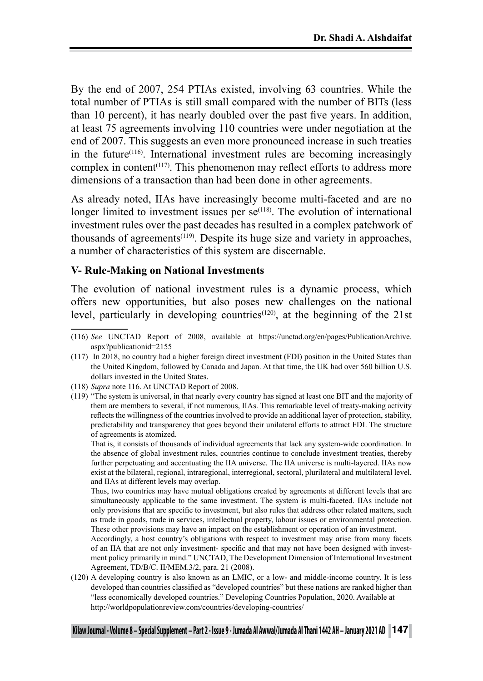By the end of 2007, 254 PTIAs existed, involving 63 countries. While the total number of PTIAs is still small compared with the number of BITs (less than 10 percent), it has nearly doubled over the past five years. In addition, at least 75 agreements involving 110 countries were under negotiation at the end of 2007. This suggests an even more pronounced increase in such treaties in the future<sup> $(116)$ </sup>. International investment rules are becoming increasingly complex in content<sup> $(117)$ </sup>. This phenomenon may reflect efforts to address more dimensions of a transaction than had been done in other agreements.

As already noted, IIAs have increasingly become multi-faceted and are no longer limited to investment issues per  $se^{(118)}$ . The evolution of international investment rules over the past decades has resulted in a complex patchwork of thousands of agreements<sup> $(119)$ </sup>. Despite its huge size and variety in approaches, a number of characteristics of this system are discernable.

#### **V- Rule-Making on National Investments**

The evolution of national investment rules is a dynamic process, which offers new opportunities, but also poses new challenges on the national level, particularly in developing countries<sup>(120)</sup>, at the beginning of the 21st

(119) "The system is universal, in that nearly every country has signed at least one BIT and the majority of them are members to several, if not numerous, IIAs. This remarkable level of treaty-making activity reflects the willingness of the countries involved to provide an additional layer of protection, stability, predictability and transparency that goes beyond their unilateral efforts to attract FDI. The structure of agreements is atomized.

That is, it consists of thousands of individual agreements that lack any system-wide coordination. In the absence of global investment rules, countries continue to conclude investment treaties, thereby further perpetuating and accentuating the IIA universe. The IIA universe is multi-layered. IIAs now exist at the bilateral, regional, intraregional, interregional, sectoral, plurilateral and multilateral level, and IIAs at different levels may overlap.

Thus, two countries may have mutual obligations created by agreements at different levels that are simultaneously applicable to the same investment. The system is multi-faceted. IIAs include not only provisions that are specific to investment, but also rules that address other related matters, such as trade in goods, trade in services, intellectual property, labour issues or environmental protection. These other provisions may have an impact on the establishment or operation of an investment.

Accordingly, a host country's obligations with respect to investment may arise from many facets of an IIA that are not only investment- specific and that may not have been designed with investment policy primarily in mind." UNCTAD, The Development Dimension of International Investment Agreement, TD/B/C. II/MEM.3/2, para. 21 (2008).

(120) A developing country is also known as an LMIC, or a low- and middle-income country. It is less developed than countries classified as "developed countries" but these nations are ranked higher than "less economically developed countries." Developing Countries Population, 2020. Available at http://worldpopulationreview.com/countries/developing-countries/

<sup>(116)</sup> *See* UNCTAD Report of 2008, available at https://unctad.org/en/pages/PublicationArchive. aspx?publicationid=2155

<sup>(117)</sup> In 2018, no country had a higher foreign direct investment (FDI) position in the United States than the United Kingdom, followed by Canada and Japan. At that time, the UK had over 560 billion U.S. dollars invested in the United States.

<sup>(118)</sup> *Supra* note 116. At UNCTAD Report of 2008.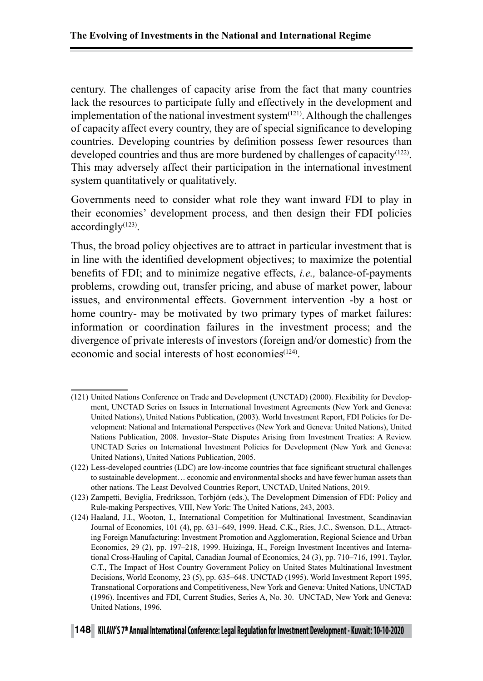century. The challenges of capacity arise from the fact that many countries lack the resources to participate fully and effectively in the development and implementation of the national investment system $(121)$ . Although the challenges of capacity affect every country, they are of special significance to developing countries. Developing countries by definition possess fewer resources than developed countries and thus are more burdened by challenges of capacity<sup>(122)</sup>. This may adversely affect their participation in the international investment system quantitatively or qualitatively.

Governments need to consider what role they want inward FDI to play in their economies' development process, and then design their FDI policies accordingly(123).

Thus, the broad policy objectives are to attract in particular investment that is in line with the identified development objectives; to maximize the potential benefits of FDI; and to minimize negative effects, *i.e.,* balance-of-payments problems, crowding out, transfer pricing, and abuse of market power, labour issues, and environmental effects. Government intervention -by a host or home country- may be motivated by two primary types of market failures: information or coordination failures in the investment process; and the divergence of private interests of investors (foreign and/or domestic) from the economic and social interests of host economies $(124)$ .

<sup>(121)</sup> United Nations Conference on Trade and Development (UNCTAD) (2000). Flexibility for Development, UNCTAD Series on Issues in International Investment Agreements (New York and Geneva: United Nations), United Nations Publication, (2003). World Investment Report, FDI Policies for Development: National and International Perspectives (New York and Geneva: United Nations), United Nations Publication, 2008. Investor–State Disputes Arising from Investment Treaties: A Review. UNCTAD Series on International Investment Policies for Development (New York and Geneva: United Nations), United Nations Publication, 2005.

<sup>(122)</sup> Less-developed countries (LDC) are low-income countries that face significant structural challenges to sustainable development… economic and environmental shocks and have fewer human assets than other nations. The Least Devolved Countries Report, UNCTAD, United Nations, 2019.

<sup>(123)</sup> Zampetti, Beviglia, Fredriksson, Torbjörn (eds.), The Development Dimension of FDI: Policy and Rule-making Perspectives, VIII, New York: The United Nations, 243, 2003.

<sup>(124)</sup> Haaland, J.I., Wooton, I., International Competition for Multinational Investment, Scandinavian Journal of Economics, 101 (4), pp. 631–649, 1999. Head, C.K., Ries, J.C., Swenson, D.L., Attracting Foreign Manufacturing: Investment Promotion and Agglomeration, Regional Science and Urban Economics, 29 (2), pp. 197–218, 1999. Huizinga, H., Foreign Investment Incentives and International Cross-Hauling of Capital, Canadian Journal of Economics, 24 (3), pp. 710–716, 1991. Taylor, C.T., The Impact of Host Country Government Policy on United States Multinational Investment Decisions, World Economy, 23 (5), pp. 635–648. UNCTAD (1995). World Investment Report 1995, Transnational Corporations and Competitiveness, New York and Geneva: United Nations, UNCTAD (1996). Incentives and FDI, Current Studies, Series A, No. 30. UNCTAD, New York and Geneva: United Nations, 1996.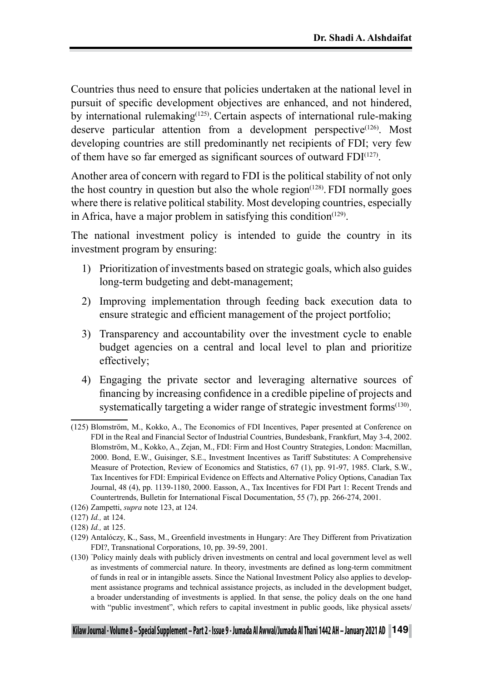Countries thus need to ensure that policies undertaken at the national level in pursuit of specific development objectives are enhanced, and not hindered, by international rulemaking(125). Certain aspects of international rule-making deserve particular attention from a development perspective<sup> $(126)$ </sup>. Most developing countries are still predominantly net recipients of FDI; very few of them have so far emerged as significant sources of outward FDI(127).

Another area of concern with regard to FDI is the political stability of not only the host country in question but also the whole  $region^{(128)}$ . FDI normally goes where there is relative political stability. Most developing countries, especially in Africa, have a major problem in satisfying this condition<sup> $(129)$ </sup>.

The national investment policy is intended to guide the country in its investment program by ensuring:

- 1) Prioritization of investments based on strategic goals, which also guides long-term budgeting and debt-management;
- 2) Improving implementation through feeding back execution data to ensure strategic and efficient management of the project portfolio;
- 3) Transparency and accountability over the investment cycle to enable budget agencies on a central and local level to plan and prioritize effectively;
- 4) Engaging the private sector and leveraging alternative sources of financing by increasing confidence in a credible pipeline of projects and systematically targeting a wider range of strategic investment forms<sup>(130)</sup>.

<sup>(125)</sup> Blomström, M., Kokko, A., The Economics of FDI Incentives, Paper presented at Conference on FDI in the Real and Financial Sector of Industrial Countries, Bundesbank, Frankfurt, May 3-4, 2002. Blomström, M., Kokko, A., Zejan, M., FDI: Firm and Host Country Strategies, London: Macmillan, 2000. Bond, E.W., Guisinger, S.E., Investment Incentives as Tariff Substitutes: A Comprehensive Measure of Protection, Review of Economics and Statistics, 67 (1), pp. 91-97, 1985. Clark, S.W., Tax Incentives for FDI: Empirical Evidence on Effects and Alternative Policy Options, Canadian Tax Journal, 48 (4), pp. 1139-1180, 2000. Easson, A., Tax Incentives for FDI Part 1: Recent Trends and Countertrends, Bulletin for International Fiscal Documentation, 55 (7), pp. 266-274, 2001.

<sup>(126)</sup> Zampetti, *supra* note 123, at 124.

<sup>(127)</sup> *Id.,* at 124.

<sup>(128)</sup> *Id.,* at 125.

<sup>(129)</sup> Antalóczy, K., Sass, M., Greenfield investments in Hungary: Are They Different from Privatization FDI?, Transnational Corporations, 10, pp. 39-59, 2001.

<sup>(130)</sup> " Policy mainly deals with publicly driven investments on central and local government level as well as investments of commercial nature. In theory, investments are defined as long-term commitment of funds in real or in intangible assets. Since the National Investment Policy also applies to development assistance programs and technical assistance projects, as included in the development budget, a broader understanding of investments is applied. In that sense, the policy deals on the one hand with "public investment", which refers to capital investment in public goods, like physical assets/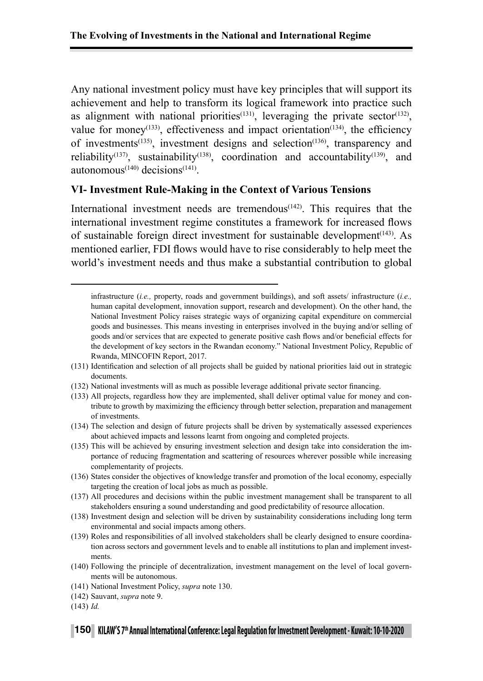Any national investment policy must have key principles that will support its achievement and help to transform its logical framework into practice such as alignment with national priorities<sup> $(131)$ </sup>, leveraging the private sector<sup> $(132)$ </sup>, value for money<sup>(133)</sup>, effectiveness and impact orientation<sup>(134)</sup>, the efficiency of investments(135), investment designs and selection(136), transparency and reliability<sup>(137)</sup>, sustainability<sup>(138)</sup>, coordination and accountability<sup>(139)</sup>, and autonomous $(140)$  decisions $(141)$ .

#### **VI- Investment Rule-Making in the Context of Various Tensions**

International investment needs are tremendous<sup> $(142)$ </sup>. This requires that the international investment regime constitutes a framework for increased flows of sustainable foreign direct investment for sustainable development<sup>(143)</sup>. As mentioned earlier, FDI flows would have to rise considerably to help meet the world's investment needs and thus make a substantial contribution to global

- (131) Identification and selection of all projects shall be guided by national priorities laid out in strategic documents.
- (132) National investments will as much as possible leverage additional private sector financing.
- (133) All projects, regardless how they are implemented, shall deliver optimal value for money and contribute to growth by maximizing the efficiency through better selection, preparation and management of investments.
- (134) The selection and design of future projects shall be driven by systematically assessed experiences about achieved impacts and lessons learnt from ongoing and completed projects.
- (135) This will be achieved by ensuring investment selection and design take into consideration the importance of reducing fragmentation and scattering of resources wherever possible while increasing complementarity of projects.
- (136) States consider the objectives of knowledge transfer and promotion of the local economy, especially targeting the creation of local jobs as much as possible.
- (137) All procedures and decisions within the public investment management shall be transparent to all stakeholders ensuring a sound understanding and good predictability of resource allocation.
- (138) Investment design and selection will be driven by sustainability considerations including long term environmental and social impacts among others.
- (139) Roles and responsibilities of all involved stakeholders shall be clearly designed to ensure coordination across sectors and government levels and to enable all institutions to plan and implement investments.
- (140) Following the principle of decentralization, investment management on the level of local governments will be autonomous.
- (141) National Investment Policy, *supra* note 130.
- (142) Sauvant, *supra* note 9.
- (143) *Id.*

infrastructure (*i.e.,* property, roads and government buildings), and soft assets/ infrastructure (*i.e.,* human capital development, innovation support, research and development). On the other hand, the National Investment Policy raises strategic ways of organizing capital expenditure on commercial goods and businesses. This means investing in enterprises involved in the buying and/or selling of goods and/or services that are expected to generate positive cash flows and/or beneficial effects for the development of key sectors in the Rwandan economy." National Investment Policy, Republic of Rwanda, MINCOFIN Report, 2017.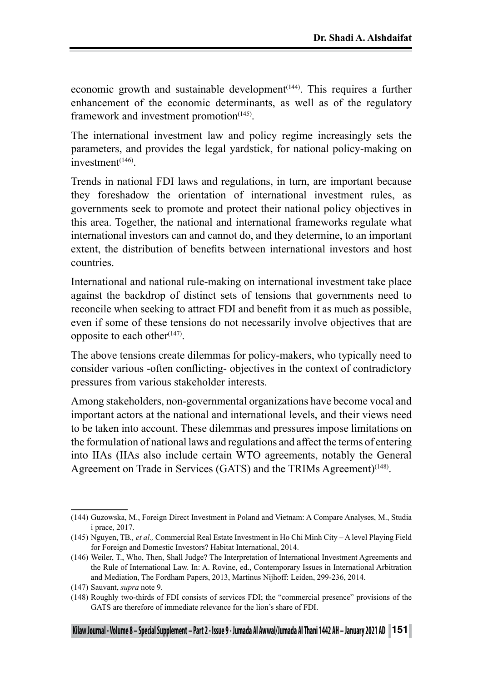economic growth and sustainable development<sup> $(144)$ </sup>. This requires a further enhancement of the economic determinants, as well as of the regulatory framework and investment promotion $(145)$ .

The international investment law and policy regime increasingly sets the parameters, and provides the legal yardstick, for national policy-making on investment<sup>(146)</sup>

Trends in national FDI laws and regulations, in turn, are important because they foreshadow the orientation of international investment rules, as governments seek to promote and protect their national policy objectives in this area. Together, the national and international frameworks regulate what international investors can and cannot do, and they determine, to an important extent, the distribution of benefits between international investors and host countries.

International and national rule-making on international investment take place against the backdrop of distinct sets of tensions that governments need to reconcile when seeking to attract FDI and benefit from it as much as possible, even if some of these tensions do not necessarily involve objectives that are opposite to each other $(147)$ .

The above tensions create dilemmas for policy-makers, who typically need to consider various -often conflicting- objectives in the context of contradictory pressures from various stakeholder interests.

Among stakeholders, non-governmental organizations have become vocal and important actors at the national and international levels, and their views need to be taken into account. These dilemmas and pressures impose limitations on the formulation of national laws and regulations and affect the terms of entering into IIAs (IIAs also include certain WTO agreements, notably the General Agreement on Trade in Services (GATS) and the TRIMs Agreement)<sup>(148)</sup>.

<sup>(144)</sup> Guzowska, M., Foreign Direct Investment in Poland and Vietnam: A Compare Analyses, M., Studia i prace, 2017.

<sup>(145)</sup> Nguyen, TB*., et al.,* Commercial Real Estate Investment in Ho Chi Minh City – A level Playing Field for Foreign and Domestic Investors? Habitat International, 2014.

<sup>(146)</sup> Weiler, T., Who, Then, Shall Judge? The Interpretation of International Investment Agreements and the Rule of International Law. In: A. Rovine, ed., Contemporary Issues in International Arbitration and Mediation, The Fordham Papers, 2013, Martinus Nijhoff: Leiden, 299-236, 2014.

<sup>(147)</sup> Sauvant, *supra* note 9.

<sup>(148)</sup> Roughly two-thirds of FDI consists of services FDI; the "commercial presence" provisions of the GATS are therefore of immediate relevance for the lion's share of FDI.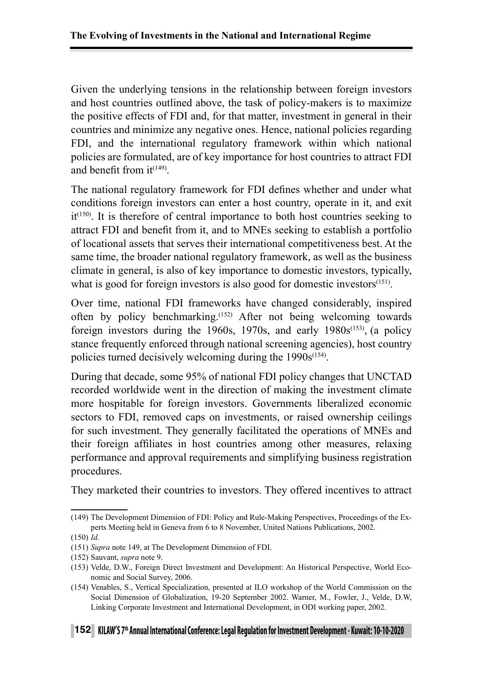Given the underlying tensions in the relationship between foreign investors and host countries outlined above, the task of policy-makers is to maximize the positive effects of FDI and, for that matter, investment in general in their countries and minimize any negative ones. Hence, national policies regarding FDI, and the international regulatory framework within which national policies are formulated, are of key importance for host countries to attract FDI and benefit from  $it^{(149)}$ .

The national regulatory framework for FDI defines whether and under what conditions foreign investors can enter a host country, operate in it, and exit  $it^{(150)}$ . It is therefore of central importance to both host countries seeking to attract FDI and benefit from it, and to MNEs seeking to establish a portfolio of locational assets that serves their international competitiveness best. At the same time, the broader national regulatory framework, as well as the business climate in general, is also of key importance to domestic investors, typically, what is good for foreign investors is also good for domestic investors<sup>(151)</sup>.

Over time, national FDI frameworks have changed considerably, inspired often by policy benchmarking.(152) After not being welcoming towards foreign investors during the 1960s, 1970s, and early  $1980s^{(153)}$ , (a policy stance frequently enforced through national screening agencies), host country policies turned decisively welcoming during the  $1990s^{(154)}$ .

During that decade, some 95% of national FDI policy changes that UNCTAD recorded worldwide went in the direction of making the investment climate more hospitable for foreign investors. Governments liberalized economic sectors to FDI, removed caps on investments, or raised ownership ceilings for such investment. They generally facilitated the operations of MNEs and their foreign affiliates in host countries among other measures, relaxing performance and approval requirements and simplifying business registration procedures.

They marketed their countries to investors. They offered incentives to attract

<sup>(149)</sup> The Development Dimension of FDI: Policy and Rule-Making Perspectives, Proceedings of the Experts Meeting held in Geneva from 6 to 8 November, United Nations Publications, 2002.

<sup>(150)</sup> *Id.*

<sup>(151)</sup> *Supra* note 149, at The Development Dimension of FDI.

<sup>(152)</sup> Sauvant, *supra* note 9.

<sup>(153)</sup> Velde, D.W., Foreign Direct Investment and Development: An Historical Perspective, World Economic and Social Survey, 2006.

<sup>(154)</sup> Venables, S., Vertical Specialization, presented at ILO workshop of the World Commission on the Social Dimension of Globalization, 19-20 September 2002. Warner, M., Fowler, J., Velde, D.W, Linking Corporate Investment and International Development, in ODI working paper, 2002.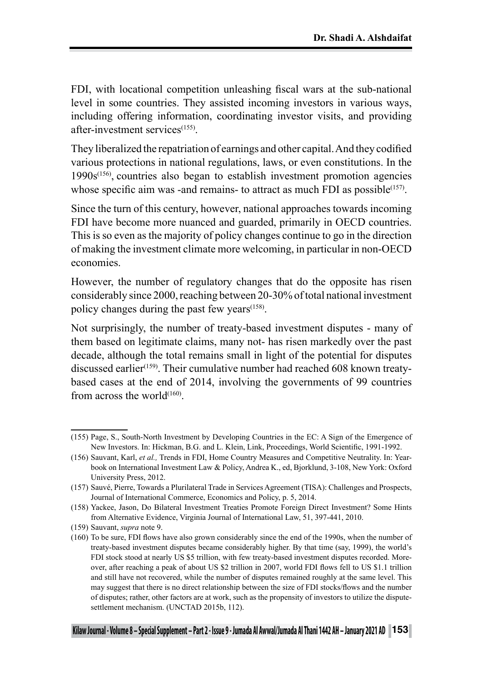FDI, with locational competition unleashing fiscal wars at the sub-national level in some countries. They assisted incoming investors in various ways, including offering information, coordinating investor visits, and providing after-investment services(155).

They liberalized the repatriation of earnings and other capital. And they codified various protections in national regulations, laws, or even constitutions. In the  $1990s^{(156)}$ , countries also began to establish investment promotion agencies whose specific aim was -and remains- to attract as much FDI as possible $(157)$ .

Since the turn of this century, however, national approaches towards incoming FDI have become more nuanced and guarded, primarily in OECD countries. This is so even as the majority of policy changes continue to go in the direction of making the investment climate more welcoming, in particular in non-OECD economies.

However, the number of regulatory changes that do the opposite has risen considerably since 2000, reaching between 20-30% of total national investment policy changes during the past few years<sup>(158)</sup>.

Not surprisingly, the number of treaty-based investment disputes - many of them based on legitimate claims, many not- has risen markedly over the past decade, although the total remains small in light of the potential for disputes discussed earlier<sup>(159)</sup>. Their cumulative number had reached 608 known treatybased cases at the end of 2014, involving the governments of 99 countries from across the world $(160)$ .

<sup>(155)</sup> Page, S., South-North Investment by Developing Countries in the EC: A Sign of the Emergence of New Investors. In: Hickman, B.G. and L. Klein, Link, Proceedings, World Scientific, 1991-1992.

<sup>(156)</sup> Sauvant, Karl, *et al.,* Trends in FDI, Home Country Measures and Competitive Neutrality. In: Yearbook on International Investment Law & Policy, Andrea K., ed, Bjorklund, 3-108, New York: Oxford University Press, 2012.

<sup>(157)</sup> Sauvé, Pierre, Towards a Plurilateral Trade in Services Agreement (TISA): Challenges and Prospects, Journal of International Commerce, Economics and Policy, p. 5, 2014.

<sup>(158)</sup> Yackee, Jason, Do Bilateral Investment Treaties Promote Foreign Direct Investment? Some Hints from Alternative Evidence, Virginia Journal of International Law, 51, 397-441, 2010.

<sup>(159)</sup> Sauvant, *supra* note 9.

<sup>(160)</sup> To be sure, FDI flows have also grown considerably since the end of the 1990s, when the number of treaty-based investment disputes became considerably higher. By that time (say, 1999), the world's FDI stock stood at nearly US \$5 trillion, with few treaty-based investment disputes recorded. Moreover, after reaching a peak of about US \$2 trillion in 2007, world FDI flows fell to US \$1.1 trillion and still have not recovered, while the number of disputes remained roughly at the same level. This may suggest that there is no direct relationship between the size of FDI stocks/flows and the number of disputes; rather, other factors are at work, such as the propensity of investors to utilize the disputesettlement mechanism. (UNCTAD 2015b, 112).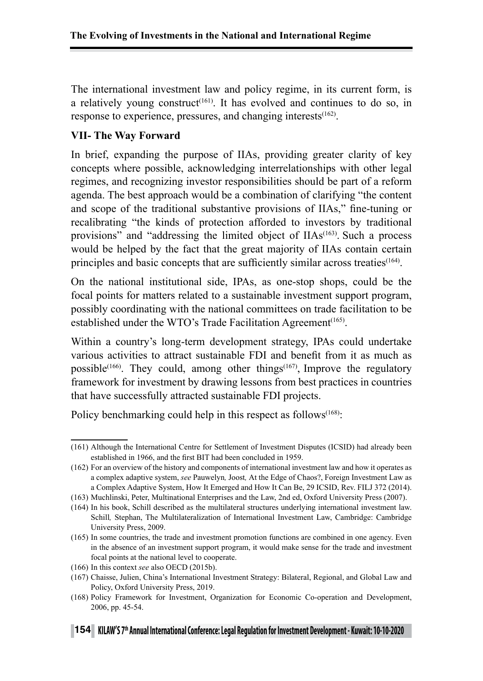The international investment law and policy regime, in its current form, is a relatively young construct<sup> $(161)$ </sup>. It has evolved and continues to do so, in response to experience, pressures, and changing interests $(162)$ .

#### **VII- The Way Forward**

In brief, expanding the purpose of IIAs, providing greater clarity of key concepts where possible, acknowledging interrelationships with other legal regimes, and recognizing investor responsibilities should be part of a reform agenda. The best approach would be a combination of clarifying "the content and scope of the traditional substantive provisions of IIAs," fine-tuning or recalibrating "the kinds of protection afforded to investors by traditional provisions" and "addressing the limited object of  $IIAs$ <sup> $(163)$ </sup>. Such a process would be helped by the fact that the great majority of IIAs contain certain principles and basic concepts that are sufficiently similar across treaties<sup>(164)</sup>.

On the national institutional side, IPAs, as one-stop shops, could be the focal points for matters related to a sustainable investment support program, possibly coordinating with the national committees on trade facilitation to be established under the WTO's Trade Facilitation Agreement<sup>(165)</sup>.

Within a country's long-term development strategy, IPAs could undertake various activities to attract sustainable FDI and benefit from it as much as possible<sup>(166)</sup>. They could, among other things<sup>(167)</sup>, Improve the regulatory framework for investment by drawing lessons from best practices in countries that have successfully attracted sustainable FDI projects.

Policy benchmarking could help in this respect as follows<sup>(168)</sup>:

<sup>(161)</sup> Although the International Centre for Settlement of Investment Disputes (ICSID) had already been established in 1966, and the first BIT had been concluded in 1959.

<sup>(162)</sup> For an overview of the history and components of international investment law and how it operates as a complex adaptive system, *see* Pauwelyn*,* Joost*,* At the Edge of Chaos?, Foreign Investment Law as a Complex Adaptive System, How It Emerged and How It Can Be, 29 ICSID, Rev. FILJ 372 (2014).

<sup>(163)</sup> Muchlinski, Peter, Multinational Enterprises and the Law, 2nd ed, Oxford University Press (2007).

<sup>(164)</sup> In his book, Schill described as the multilateral structures underlying international investment law. Schill*,* Stephan, The Multilateralization of International Investment Law, Cambridge: Cambridge University Press, 2009.

<sup>(165)</sup> In some countries, the trade and investment promotion functions are combined in one agency. Even in the absence of an investment support program, it would make sense for the trade and investment focal points at the national level to cooperate.

<sup>(166)</sup> In this context *see* also OECD (2015b).

<sup>(167)</sup> Chaisse, Julien, China's International Investment Strategy: Bilateral, Regional, and Global Law and Policy, Oxford University Press, 2019.

<sup>(168)</sup> Policy Framework for Investment, Organization for Economic Co-operation and Development, 2006, pp. 45-54.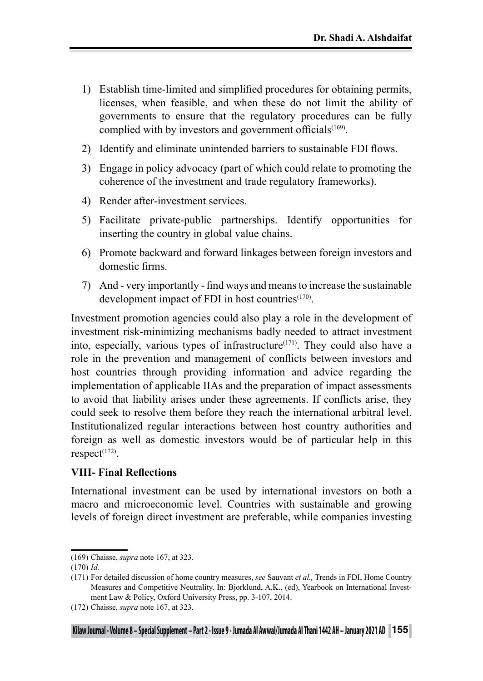- 1) Establish time-limited and simplified procedures for obtaining permits, licenses, when feasible, and when these do not limit the ability of governments to ensure that the regulatory procedures can be fully complied with by investors and government officials $(169)$ .
- 2) Identify and eliminate unintended barriers to sustainable FDI flows.
- 3) Engage in policy advocacy (part of which could relate to promoting the coherence of the investment and trade regulatory frameworks).
- 4) Render after-investment services.
- 5) Facilitate private-public partnerships. Identify opportunities for inserting the country in global value chains.
- 6) Promote backward and forward linkages between foreign investors and domestic firms.
- 7) And very importantly find ways and means to increase the sustainable development impact of FDI in host countries $(170)$ .

Investment promotion agencies could also play a role in the development of investment risk-minimizing mechanisms badly needed to attract investment into, especially, various types of infrastructure $(171)$ . They could also have a role in the prevention and management of conflicts between investors and host countries through providing information and advice regarding the implementation of applicable IIAs and the preparation of impact assessments to avoid that liability arises under these agreements. If conflicts arise, they could seek to resolve them before they reach the international arbitral level. Institutionalized regular interactions between host country authorities and foreign as well as domestic investors would be of particular help in this  $respect^{(172)}$ .

#### **VIII- Final Reflections**

International investment can be used by international investors on both a macro and microeconomic level. Countries with sustainable and growing levels of foreign direct investment are preferable, while companies investing

<sup>(169)</sup> Chaisse, *supra* note 167, at 323.

<sup>(170)</sup> *Id.*

<sup>(171)</sup> For detailed discussion of home country measures, *see* Sauvant *et al.,* Trends in FDI, Home Country Measures and Competitive Neutrality. In: Bjorklund, A.K., (ed), Yearbook on International Investment Law & Policy, Oxford University Press, pp. 3-107, 2014.

<sup>(172)</sup> Chaisse, *supra* note 167, at 323.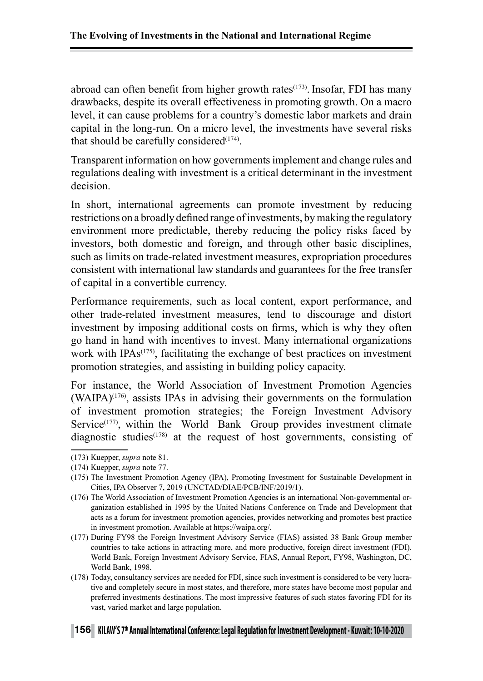abroad can often benefit from higher growth rates<sup> $(173)$ </sup>. Insofar, FDI has many drawbacks, despite its overall effectiveness in promoting growth. On a macro level, it can cause problems for a country's domestic labor markets and drain capital in the long-run. On a micro level, the investments have several risks that should be carefully considered $(174)$ .

Transparent information on how governments implement and change rules and regulations dealing with investment is a critical determinant in the investment decision.

In short, international agreements can promote investment by reducing restrictions on a broadly defined range of investments, by making the regulatory environment more predictable, thereby reducing the policy risks faced by investors, both domestic and foreign, and through other basic disciplines, such as limits on trade-related investment measures, expropriation procedures consistent with international law standards and guarantees for the free transfer of capital in a convertible currency.

Performance requirements, such as local content, export performance, and other trade-related investment measures, tend to discourage and distort investment by imposing additional costs on firms, which is why they often go hand in hand with incentives to invest. Many international organizations work with IPAs<sup>(175)</sup>, facilitating the exchange of best practices on investment promotion strategies, and assisting in building policy capacity.

For instance, the World Association of Investment Promotion Agencies  $(WAIPA)^{(176)}$ , assists IPAs in advising their governments on the formulation of investment promotion strategies; the Foreign Investment Advisory Service $(177)$ , within the World Bank Group provides investment climate diagnostic studies<sup> $(178)$ </sup> at the request of host governments, consisting of

<sup>(173)</sup> Kuepper, *supra* note 81.

<sup>(174)</sup> Kuepper, *supra* note 77.

<sup>(175)</sup> The Investment Promotion Agency (IPA), Promoting Investment for Sustainable Development in Cities, IPA Observer 7, 2019 (UNCTAD/DIAE/PCB/INF/2019/1).

<sup>(176)</sup> The World Association of Investment Promotion Agencies is an international Non-governmental organization established in 1995 by the United Nations Conference on Trade and Development that acts as a forum for investment promotion agencies, provides networking and promotes best practice in investment promotion. Available at https://waipa.org/.

<sup>(177)</sup> During FY98 the Foreign Investment Advisory Service (FIAS) assisted 38 Bank Group member countries to take actions in attracting more, and more productive, foreign direct investment (FDI). World Bank, Foreign Investment Advisory Service, FIAS, Annual Report, FY98, Washington, DC, World Bank, 1998.

<sup>(178)</sup> Today, consultancy services are needed for FDI, since such investment is considered to be very lucrative and completely secure in most states, and therefore, more states have become most popular and preferred investments destinations. The most impressive features of such states favoring FDI for its vast, varied market and large population.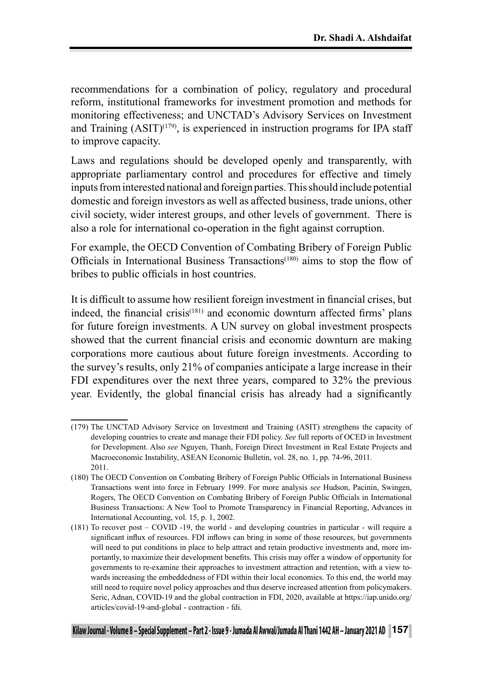recommendations for a combination of policy, regulatory and procedural reform, institutional frameworks for investment promotion and methods for monitoring effectiveness; and UNCTAD's Advisory Services on Investment and Training  $(ASIT)^{(179)}$ , is experienced in instruction programs for IPA staff to improve capacity.

Laws and regulations should be developed openly and transparently, with appropriate parliamentary control and procedures for effective and timely inputs from interested national and foreign parties. This should include potential domestic and foreign investors as well as affected business, trade unions, other civil society, wider interest groups, and other levels of government. There is also a role for international co-operation in the fight against corruption.

For example, the OECD Convention of Combating Bribery of Foreign Public Officials in International Business Transactions<sup>(180)</sup> aims to stop the flow of bribes to public officials in host countries.

It is difficult to assume how resilient foreign investment in financial crises, but indeed, the financial crisis(181) and economic downturn affected firms' plans for future foreign investments. A UN survey on global investment prospects showed that the current financial crisis and economic downturn are making corporations more cautious about future foreign investments. According to the survey's results, only 21% of companies anticipate a large increase in their FDI expenditures over the next three years, compared to 32% the previous year. Evidently, the global financial crisis has already had a significantly

<sup>(179)</sup> The UNCTAD Advisory Service on Investment and Training (ASIT) strengthens the capacity of developing countries to create and manage their FDI policy. *See* full reports of OCED in Investment for Development. Also *see* Nguyen, Thanh, Foreign Direct Investment in Real Estate Projects and Macroeconomic Instability, ASEAN Economic Bulletin, vol. 28, no. 1, pp. 74-96, 2011. 2011.

<sup>(180)</sup> The OECD Convention on Combating Bribery of Foreign Public Officials in International Business Transactions went into force in February 1999. For more analysis *see* Hudson, Pacinin, Swingen, Rogers, The OECD Convention on Combating Bribery of Foreign Public Officials in International Business Transactions: A New Tool to Promote Transparency in Financial Reporting, Advances in International Accounting, vol. 15, p. 1, 2002.

<sup>(181)</sup> To recover post – COVID -19, the world - and developing countries in particular - will require a significant influx of resources. FDI inflows can bring in some of those resources, but governments will need to put conditions in place to help attract and retain productive investments and, more importantly, to maximize their development benefits. This crisis may offer a window of opportunity for governments to re-examine their approaches to investment attraction and retention, with a view towards increasing the embeddedness of FDI within their local economies. To this end, the world may still need to require novel policy approaches and thus deserve increased attention from policymakers. Seric, Adnan, COVID-19 and the global contraction in FDI, 2020, available at https://iap.unido.org/ articles/covid-19-and-global - contraction - fdi.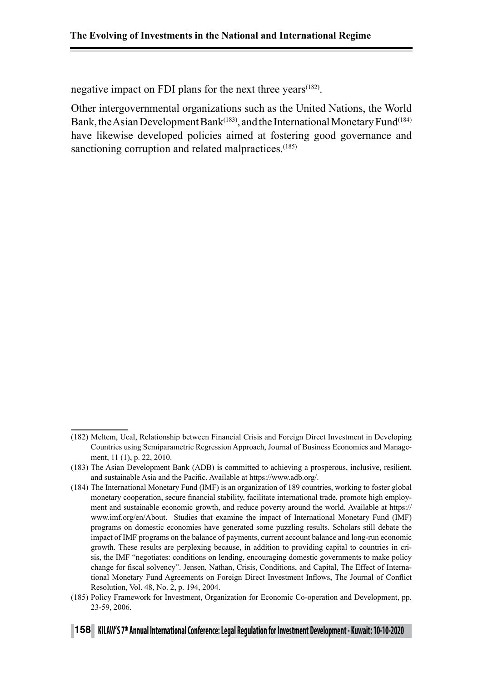negative impact on FDI plans for the next three years<sup> $(182)$ </sup>.

Other intergovernmental organizations such as the United Nations, the World Bank, the Asian Development Bank<sup>(183)</sup>, and the International Monetary Fund<sup>(184)</sup> have likewise developed policies aimed at fostering good governance and sanctioning corruption and related malpractices.<sup>(185)</sup>

<sup>(182)</sup> Meltem, Ucal, Relationship between Financial Crisis and Foreign Direct Investment in Developing Countries using Semiparametric Regression Approach, Journal of Business Economics and Management, 11 (1), p. 22, 2010.

<sup>(183)</sup> The Asian Development Bank (ADB) is committed to achieving a prosperous, inclusive, resilient, and sustainable Asia and the Pacific. Available at https://www.adb.org/.

<sup>(184)</sup> The International Monetary Fund (IMF) is an organization of 189 countries, working to foster global monetary cooperation, secure financial stability, facilitate international trade, promote high employment and sustainable economic growth, and reduce poverty around the world. Available at https:// www.imf.org/en/About. Studies that examine the impact of International Monetary Fund (IMF) programs on domestic economies have generated some puzzling results. Scholars still debate the impact of IMF programs on the balance of payments, current account balance and long-run economic growth. These results are perplexing because, in addition to providing capital to countries in crisis, the IMF "negotiates: conditions on lending, encouraging domestic governments to make policy change for fiscal solvency". Jensen, Nathan, Crisis, Conditions, and Capital, The Effect of International Monetary Fund Agreements on Foreign Direct Investment Inflows, The Journal of Conflict Resolution, Vol. 48, No. 2, p. 194, 2004.

<sup>(185)</sup> Policy Framework for Investment, Organization for Economic Co-operation and Development, pp. 23-59, 2006.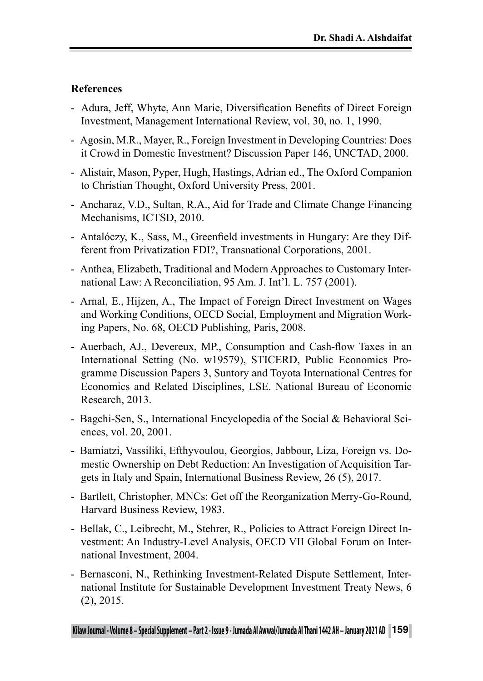#### **References**

- Adura, Jeff, Whyte, Ann Marie, Diversification Benefits of Direct Foreign Investment, Management International Review, vol. 30, no. 1, 1990.
- Agosin, M.R., Mayer, R., Foreign Investment in Developing Countries: Does it Crowd in Domestic Investment? Discussion Paper 146, UNCTAD, 2000.
- Alistair, Mason, Pyper, Hugh, Hastings, Adrian ed., The Oxford Companion to Christian Thought, Oxford University Press, 2001.
- Ancharaz, V.D., Sultan, R.A., Aid for Trade and Climate Change Financing Mechanisms, ICTSD, 2010.
- Antalóczy, K., Sass, M., Greenfield investments in Hungary: Are they Different from Privatization FDI?, Transnational Corporations, 2001.
- Anthea, Elizabeth, Traditional and Modern Approaches to Customary International Law: A Reconciliation, 95 Am. J. Int'l. L. 757 (2001).
- Arnal, E., Hijzen, A., The Impact of Foreign Direct Investment on Wages and Working Conditions, OECD Social, Employment and Migration Working Papers, No. 68, OECD Publishing, Paris, 2008.
- Auerbach, AJ., Devereux, MP., Consumption and Cash-flow Taxes in an International Setting (No. w19579), STICERD, Public Economics Programme Discussion Papers 3, Suntory and Toyota International Centres for Economics and Related Disciplines, LSE. National Bureau of Economic Research, 2013.
- Bagchi-Sen, S., International Encyclopedia of the Social & Behavioral Sciences, vol. 20, 2001.
- Bamiatzi, Vassiliki, Efthyvoulou, Georgios, Jabbour, Liza, Foreign vs. Domestic Ownership on Debt Reduction: An Investigation of Acquisition Targets in Italy and Spain, International Business Review, 26 (5), 2017.
- Bartlett, Christopher, MNCs: Get off the Reorganization Merry-Go-Round, Harvard Business Review, 1983.
- Bellak, C., Leibrecht, M., Stehrer, R., Policies to Attract Foreign Direct Investment: An Industry-Level Analysis, OECD VII Global Forum on International Investment, 2004.
- Bernasconi, N., Rethinking Investment-Related Dispute Settlement, International Institute for Sustainable Development Investment Treaty News, 6 (2), 2015.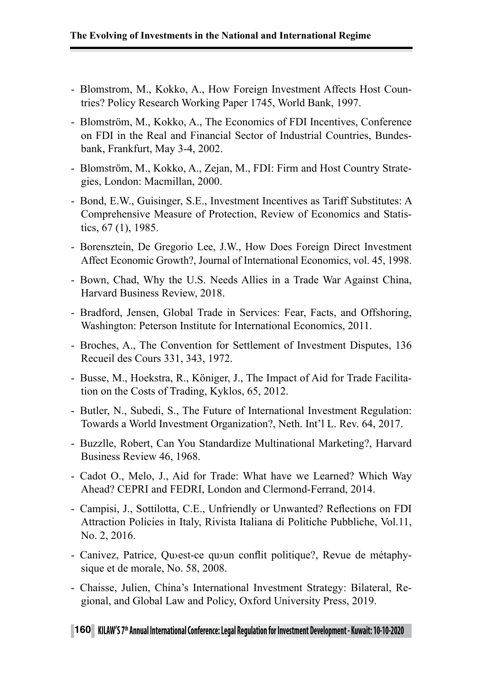- Blomstrom, M., Kokko, A., How Foreign Investment Affects Host Countries? Policy Research Working Paper 1745, World Bank, 1997.
- Blomström, M., Kokko, A., The Economics of FDI Incentives, Conference on FDI in the Real and Financial Sector of Industrial Countries, Bundesbank, Frankfurt, May 3-4, 2002.
- Blomström, M., Kokko, A., Zejan, M., FDI: Firm and Host Country Strategies, London: Macmillan, 2000.
- Bond, E.W., Guisinger, S.E., Investment Incentives as Tariff Substitutes: A Comprehensive Measure of Protection, Review of Economics and Statistics, 67 (1), 1985.
- Borensztein, De Gregorio Lee, J.W., How Does Foreign Direct Investment Affect Economic Growth?, Journal of International Economics, vol. 45, 1998.
- Bown, Chad, Why the U.S. Needs Allies in a Trade War Against China, Harvard Business Review, 2018.
- Bradford, Jensen, Global Trade in Services: Fear, Facts, and Offshoring, Washington: Peterson Institute for International Economics, 2011.
- Broches, A., The Convention for Settlement of Investment Disputes, 136 Recueil des Cours 331, 343, 1972.
- Busse, M., Hoekstra, R., Königer, J., The Impact of Aid for Trade Facilitation on the Costs of Trading, Kyklos, 65, 2012.
- Butler, N., Subedi, S., The Future of International Investment Regulation: Towards a World Investment Organization?, Neth. Int'l L. Rev. 64, 2017.
- Buzzlle, Robert, Can You Standardize Multinational Marketing?, Harvard Business Review 46, 1968.
- Cadot O., Melo, J., Aid for Trade: What have we Learned? Which Way Ahead? CEPRI and FEDRI, London and Clermond-Ferrand, 2014.
- Campisi, J., Sottilotta, C.E., Unfriendly or Unwanted? Reflections on FDI Attraction Policies in Italy, Rivista Italiana di Politiche Pubbliche, Vol.11, No. 2, 2016.
- Canivez, Patrice, Qu›est-ce qu›un conflit politique?, Revue de métaphysique et de morale, No. 58, 2008.
- Chaisse, Julien, China's International Investment Strategy: Bilateral, Regional, and Global Law and Policy, Oxford University Press, 2019.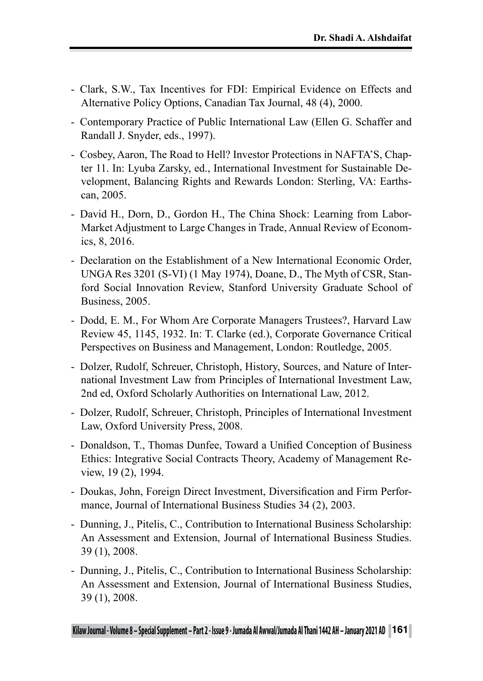- Clark, S.W., Tax Incentives for FDI: Empirical Evidence on Effects and Alternative Policy Options, Canadian Tax Journal, 48 (4), 2000.
- Contemporary Practice of Public International Law (Ellen G. Schaffer and Randall J. Snyder, eds., 1997).
- Cosbey, Aaron, The Road to Hell? Investor Protections in NAFTA'S, Chapter 11. In: Lyuba Zarsky, ed., International Investment for Sustainable Development, Balancing Rights and Rewards London: Sterling, VA: Earthscan, 2005.
- David H., Dorn, D., Gordon H., The China Shock: Learning from Labor-Market Adjustment to Large Changes in Trade, Annual Review of Economics, 8, 2016.
- Declaration on the Establishment of a New International Economic Order, UNGA Res 3201 (S-VI) (1 May 1974), Doane, D., The Myth of CSR, Stanford Social Innovation Review, Stanford University Graduate School of Business, 2005.
- Dodd, E. M., For Whom Are Corporate Managers Trustees?, Harvard Law Review 45, 1145, 1932. In: T. Clarke (ed.), Corporate Governance Critical Perspectives on Business and Management, London: Routledge, 2005.
- Dolzer, Rudolf, Schreuer, Christoph, History, Sources, and Nature of International Investment Law from Principles of International Investment Law, 2nd ed, Oxford Scholarly Authorities on International Law, 2012.
- Dolzer, Rudolf, Schreuer, Christoph, Principles of International Investment Law, Oxford University Press, 2008.
- Donaldson, T., Thomas Dunfee, Toward a Unified Conception of Business Ethics: Integrative Social Contracts Theory, Academy of Management Review, 19 (2), 1994.
- Doukas, John, Foreign Direct Investment, Diversification and Firm Performance, Journal of International Business Studies 34 (2), 2003.
- Dunning, J., Pitelis, C., Contribution to International Business Scholarship: An Assessment and Extension, Journal of International Business Studies. 39 (1), 2008.
- Dunning, J., Pitelis, C., Contribution to International Business Scholarship: An Assessment and Extension, Journal of International Business Studies, 39 (1), 2008.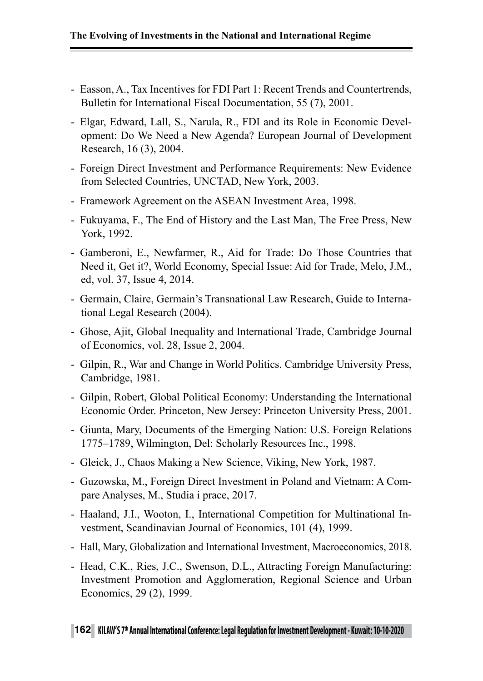- Easson, A., Tax Incentives for FDI Part 1: Recent Trends and Countertrends, Bulletin for International Fiscal Documentation, 55 (7), 2001.
- Elgar, Edward, Lall, S., Narula, R., FDI and its Role in Economic Development: Do We Need a New Agenda? European Journal of Development Research, 16 (3), 2004.
- Foreign Direct Investment and Performance Requirements: New Evidence from Selected Countries, UNCTAD, New York, 2003.
- Framework Agreement on the ASEAN Investment Area, 1998.
- Fukuyama, F., The End of History and the Last Man, The Free Press, New York, 1992.
- Gamberoni, E., Newfarmer, R., Aid for Trade: Do Those Countries that Need it, Get it?, World Economy, Special Issue: Aid for Trade, Melo, J.M., ed, vol. 37, Issue 4, 2014.
- Germain, Claire, Germain's Transnational Law Research, Guide to International Legal Research (2004).
- Ghose, Ajit, Global Inequality and International Trade, Cambridge Journal of Economics, vol. 28, Issue 2, 2004.
- Gilpin, R., War and Change in World Politics. Cambridge University Press, Cambridge, 1981.
- Gilpin, Robert, Global Political Economy: Understanding the International Economic Order. Princeton, New Jersey: Princeton University Press, 2001.
- Giunta, Mary, Documents of the Emerging Nation: U.S. Foreign Relations 1775–1789, Wilmington, Del: Scholarly Resources Inc., 1998.
- Gleick, J., Chaos Making a New Science, Viking, New York, 1987.
- Guzowska, M., Foreign Direct Investment in Poland and Vietnam: A Compare Analyses, M., Studia i prace, 2017.
- Haaland, J.I., Wooton, I., International Competition for Multinational Investment, Scandinavian Journal of Economics, 101 (4), 1999.
- Hall, Mary, Globalization and International Investment, Macroeconomics, 2018.
- Head, C.K., Ries, J.C., Swenson, D.L., Attracting Foreign Manufacturing: Investment Promotion and Agglomeration, Regional Science and Urban Economics, 29 (2), 1999.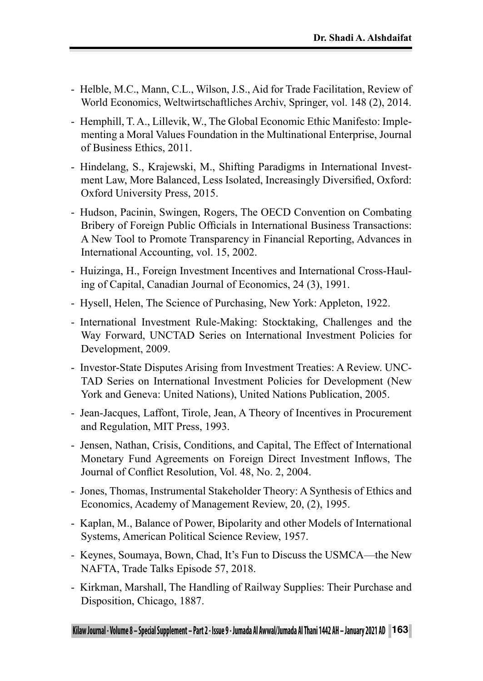- Helble, M.C., Mann, C.L., Wilson, J.S., Aid for Trade Facilitation, Review of World Economics, Weltwirtschaftliches Archiv, Springer, vol. 148 (2), 2014.
- Hemphill, T. A., Lillevik, W., The Global Economic Ethic Manifesto: Implementing a Moral Values Foundation in the Multinational Enterprise, Journal of Business Ethics, 2011.
- Hindelang, S., Krajewski, M., Shifting Paradigms in International Investment Law, More Balanced, Less Isolated, Increasingly Diversified, Oxford: Oxford University Press, 2015.
- Hudson, Pacinin, Swingen, Rogers, The OECD Convention on Combating Bribery of Foreign Public Officials in International Business Transactions: A New Tool to Promote Transparency in Financial Reporting, Advances in International Accounting, vol. 15, 2002.
- Huizinga, H., Foreign Investment Incentives and International Cross-Hauling of Capital, Canadian Journal of Economics, 24 (3), 1991.
- Hysell, Helen, The Science of Purchasing, New York: Appleton, 1922.
- International Investment Rule-Making: Stocktaking, Challenges and the Way Forward, UNCTAD Series on International Investment Policies for Development, 2009.
- Investor-State Disputes Arising from Investment Treaties: A Review. UNC-TAD Series on International Investment Policies for Development (New York and Geneva: United Nations), United Nations Publication, 2005.
- Jean-Jacques, Laffont, Tirole, Jean, A Theory of Incentives in Procurement and Regulation, MIT Press, 1993.
- Jensen, Nathan, Crisis, Conditions, and Capital, The Effect of International Monetary Fund Agreements on Foreign Direct Investment Inflows, The Journal of Conflict Resolution, Vol. 48, No. 2, 2004.
- Jones, Thomas, Instrumental Stakeholder Theory: A Synthesis of Ethics and Economics, Academy of Management Review, 20, (2), 1995.
- Kaplan, M., Balance of Power, Bipolarity and other Models of International Systems, American Political Science Review, 1957.
- Keynes, Soumaya, Bown, Chad, It's Fun to Discuss the USMCA—the New NAFTA, Trade Talks Episode 57, 2018.
- Kirkman, Marshall, The Handling of Railway Supplies: Their Purchase and Disposition, Chicago, 1887.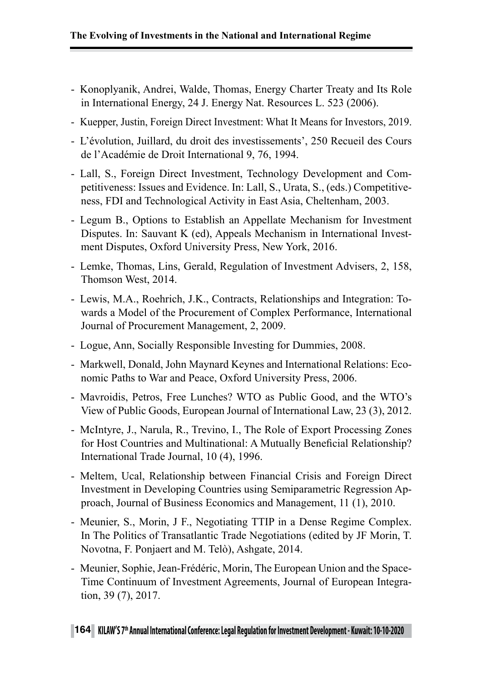- Konoplyanik, Andrei, Walde, Thomas, Energy Charter Treaty and Its Role in International Energy, 24 J. Energy Nat. Resources L. 523 (2006).
- Kuepper, Justin, Foreign Direct Investment: What It Means for Investors, 2019.
- L'évolution, Juillard, du droit des investissements', 250 Recueil des Cours de l'Académie de Droit International 9, 76, 1994.
- Lall, S., Foreign Direct Investment, Technology Development and Competitiveness: Issues and Evidence. In: Lall, S., Urata, S., (eds.) Competitiveness, FDI and Technological Activity in East Asia, Cheltenham, 2003.
- Legum B., Options to Establish an Appellate Mechanism for Investment Disputes. In: Sauvant K (ed), Appeals Mechanism in International Investment Disputes, Oxford University Press, New York, 2016.
- Lemke, Thomas, Lins, Gerald, Regulation of Investment Advisers, 2, 158, Thomson West, 2014.
- Lewis, M.A., Roehrich, J.K., Contracts, Relationships and Integration: Towards a Model of the Procurement of Complex Performance, International Journal of Procurement Management, 2, 2009.
- Logue, Ann, Socially Responsible Investing for Dummies, 2008.
- Markwell, Donald, John Maynard Keynes and International Relations: Economic Paths to War and Peace, Oxford University Press, 2006.
- Mavroidis, Petros, Free Lunches? WTO as Public Good, and the WTO's View of Public Goods, European Journal of International Law, 23 (3), 2012.
- McIntyre, J., Narula, R., Trevino, I., The Role of Export Processing Zones for Host Countries and Multinational: A Mutually Beneficial Relationship? International Trade Journal, 10 (4), 1996.
- Meltem, Ucal, Relationship between Financial Crisis and Foreign Direct Investment in Developing Countries using Semiparametric Regression Approach, Journal of Business Economics and Management, 11 (1), 2010.
- Meunier, S., Morin, J F., Negotiating TTIP in a Dense Regime Complex. In The Politics of Transatlantic Trade Negotiations (edited by JF Morin, T. Novotna, F. Ponjaert and M. Telò), Ashgate, 2014.
- Meunier, Sophie, Jean-Frédéric, Morin, The European Union and the Space-Time Continuum of Investment Agreements, Journal of European Integration, 39 (7), 2017.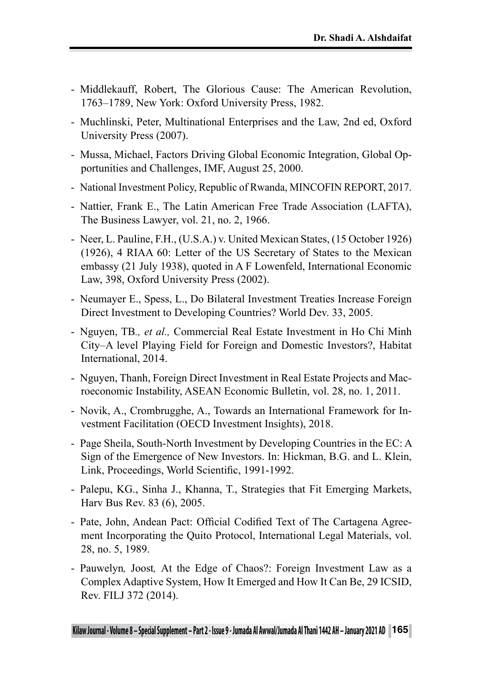- Middlekauff, Robert, The Glorious Cause: The American Revolution, 1763–1789, New York: Oxford University Press, 1982.
- Muchlinski, Peter, Multinational Enterprises and the Law, 2nd ed, Oxford University Press (2007).
- Mussa, Michael, Factors Driving Global Economic Integration, Global Opportunities and Challenges, IMF, August 25, 2000.
- National Investment Policy, Republic of Rwanda, MINCOFIN REPORT, 2017.
- Nattier, Frank E., The Latin American Free Trade Association (LAFTA), The Business Lawyer, vol. 21, no. 2, 1966.
- Neer, L. Pauline, F.H., (U.S.A.) v. United Mexican States, (15 October 1926) (1926), 4 RIAA 60: Letter of the US Secretary of States to the Mexican embassy (21 July 1938), quoted in A F Lowenfeld, International Economic Law, 398, Oxford University Press (2002).
- Neumayer E., Spess, L., Do Bilateral Investment Treaties Increase Foreign Direct Investment to Developing Countries? World Dev. 33, 2005.
- Nguyen, TB*., et al.,* Commercial Real Estate Investment in Ho Chi Minh City–A level Playing Field for Foreign and Domestic Investors?, Habitat International, 2014.
- Nguyen, Thanh, Foreign Direct Investment in Real Estate Projects and Macroeconomic Instability, ASEAN Economic Bulletin, vol. 28, no. 1, 2011.
- Novik, A., Crombrugghe, A., Towards an International Framework for Investment Facilitation (OECD Investment Insights), 2018.
- Page Sheila, South-North Investment by Developing Countries in the EC: A Sign of the Emergence of New Investors. In: Hickman, B.G. and L. Klein, Link, Proceedings, World Scientific, 1991-1992.
- Palepu, KG., Sinha J., Khanna, T., Strategies that Fit Emerging Markets, Harv Bus Rev. 83 (6), 2005.
- Pate, John, Andean Pact: Official Codified Text of The Cartagena Agreement Incorporating the Quito Protocol, International Legal Materials, vol. 28, no. 5, 1989.
- Pauwelyn*,* Joost*,* At the Edge of Chaos?: Foreign Investment Law as a Complex Adaptive System, How It Emerged and How It Can Be, 29 ICSID, Rev. FILJ 372 (2014).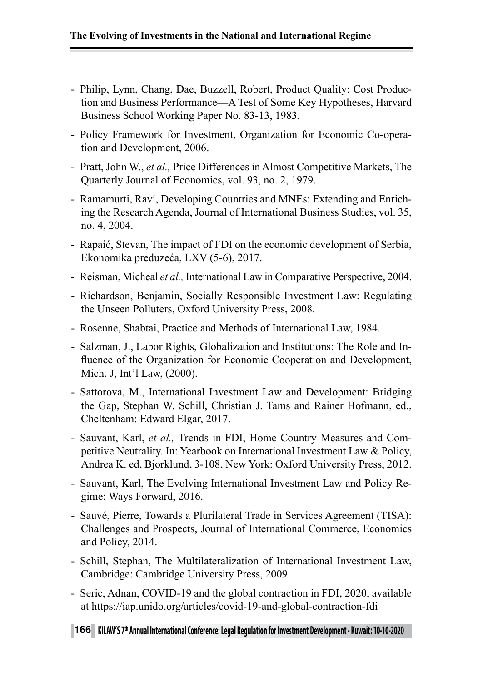- Philip, Lynn, Chang, Dae, Buzzell, Robert, Product Quality: Cost Production and Business Performance—A Test of Some Key Hypotheses, Harvard Business School Working Paper No. 83-13, 1983.
- Policy Framework for Investment, Organization for Economic Co-operation and Development, 2006.
- Pratt, John W., *et al.,* Price Differences in Almost Competitive Markets, The Quarterly Journal of Economics, vol. 93, no. 2, 1979.
- Ramamurti, Ravi, Developing Countries and MNEs: Extending and Enriching the Research Agenda, Journal of International Business Studies, vol. 35, no. 4, 2004.
- Rapaić, Stevan, The impact of FDI on the economic development of Serbia, Ekonomika preduzeća, LXV (5-6), 2017.
- Reisman, Micheal *et al.,* International Law in Comparative Perspective, 2004.
- Richardson, Benjamin, Socially Responsible Investment Law: Regulating the Unseen Polluters, Oxford University Press, 2008.
- Rosenne, Shabtai, Practice and Methods of International Law, 1984.
- Salzman, J., Labor Rights, Globalization and Institutions: The Role and Influence of the Organization for Economic Cooperation and Development, Mich. J, Int'l Law, (2000).
- Sattorova, M., International Investment Law and Development: Bridging the Gap, Stephan W. Schill, Christian J. Tams and Rainer Hofmann, ed., Cheltenham: Edward Elgar, 2017.
- Sauvant, Karl, *et al.,* Trends in FDI, Home Country Measures and Competitive Neutrality. In: Yearbook on International Investment Law & Policy, Andrea K. ed, Bjorklund, 3-108, New York: Oxford University Press, 2012.
- Sauvant, Karl, The Evolving International Investment Law and Policy Regime: Ways Forward, 2016.
- Sauvé, Pierre, Towards a Plurilateral Trade in Services Agreement (TISA): Challenges and Prospects, Journal of International Commerce, Economics and Policy, 2014.
- Schill, Stephan, The Multilateralization of International Investment Law, Cambridge: Cambridge University Press, 2009.
- Seric, Adnan, COVID-19 and the global contraction in FDI, 2020, available at https://iap.unido.org/articles/covid-19-and-global-contraction-fdi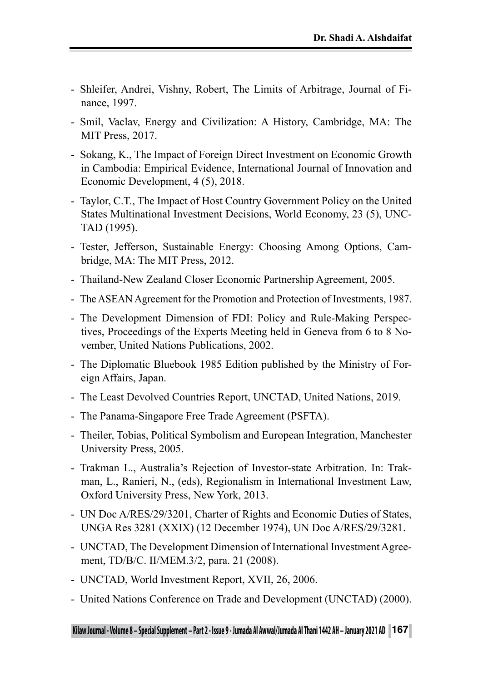- Shleifer, Andrei, Vishny, Robert, The Limits of Arbitrage, Journal of Finance, 1997.
- Smil, Vaclav, Energy and Civilization: A History, Cambridge, MA: The MIT Press, 2017.
- Sokang, K., The Impact of Foreign Direct Investment on Economic Growth in Cambodia: Empirical Evidence, International Journal of Innovation and Economic Development, 4 (5), 2018.
- Taylor, C.T., The Impact of Host Country Government Policy on the United States Multinational Investment Decisions, World Economy, 23 (5), UNC-TAD (1995).
- Tester, Jefferson, Sustainable Energy: Choosing Among Options, Cambridge, MA: The MIT Press, 2012.
- Thailand-New Zealand Closer Economic Partnership Agreement, 2005.
- The ASEAN Agreement for the Promotion and Protection of Investments, 1987.
- The Development Dimension of FDI: Policy and Rule-Making Perspectives, Proceedings of the Experts Meeting held in Geneva from 6 to 8 November, United Nations Publications, 2002.
- The Diplomatic Bluebook 1985 Edition published by the Ministry of Foreign Affairs, Japan.
- The Least Devolved Countries Report, UNCTAD, United Nations, 2019.
- The Panama-Singapore Free Trade Agreement (PSFTA).
- Theiler, Tobias, Political Symbolism and European Integration, Manchester University Press, 2005.
- Trakman L., Australia's Rejection of Investor-state Arbitration. In: Trakman, L., Ranieri, N., (eds), Regionalism in International Investment Law, Oxford University Press, New York, 2013.
- UN Doc A/RES/29/3201, Charter of Rights and Economic Duties of States, UNGA Res 3281 (XXIX) (12 December 1974), UN Doc A/RES/29/3281.
- UNCTAD, The Development Dimension of International Investment Agreement, TD/B/C. II/MEM.3/2, para. 21 (2008).
- UNCTAD, World Investment Report, XVII, 26, 2006.
- United Nations Conference on Trade and Development (UNCTAD) (2000).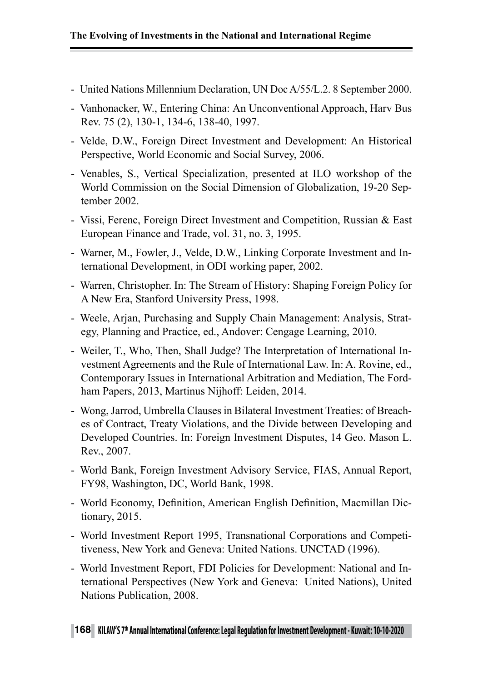- United Nations Millennium Declaration, UN Doc A/55/L.2. 8 September 2000.
- Vanhonacker, W., Entering China: An Unconventional Approach, Harv Bus Rev. 75 (2), 130-1, 134-6, 138-40, 1997.
- Velde, D.W., Foreign Direct Investment and Development: An Historical Perspective, World Economic and Social Survey, 2006.
- Venables, S., Vertical Specialization, presented at ILO workshop of the World Commission on the Social Dimension of Globalization, 19-20 September 2002.
- Vissi, Ferenc, Foreign Direct Investment and Competition, Russian & East European Finance and Trade, vol. 31, no. 3, 1995.
- Warner, M., Fowler, J., Velde, D.W., Linking Corporate Investment and International Development, in ODI working paper, 2002.
- Warren, Christopher. In: The Stream of History: Shaping Foreign Policy for A New Era, Stanford University Press, 1998.
- Weele, Arjan, Purchasing and Supply Chain Management: Analysis, Strategy, Planning and Practice, ed., Andover: Cengage Learning, 2010.
- Weiler, T., Who, Then, Shall Judge? The Interpretation of International Investment Agreements and the Rule of International Law. In: A. Rovine, ed., Contemporary Issues in International Arbitration and Mediation, The Fordham Papers, 2013, Martinus Nijhoff: Leiden, 2014.
- Wong, Jarrod, Umbrella Clauses in Bilateral Investment Treaties: of Breaches of Contract, Treaty Violations, and the Divide between Developing and Developed Countries. In: Foreign Investment Disputes, 14 Geo. Mason L. Rev., 2007.
- World Bank, Foreign Investment Advisory Service, FIAS, Annual Report, FY98, Washington, DC, World Bank, 1998.
- World Economy, Definition, American English Definition, Macmillan Dictionary, 2015.
- World Investment Report 1995, Transnational Corporations and Competitiveness, New York and Geneva: United Nations. UNCTAD (1996).
- World Investment Report, FDI Policies for Development: National and International Perspectives (New York and Geneva: United Nations), United Nations Publication, 2008.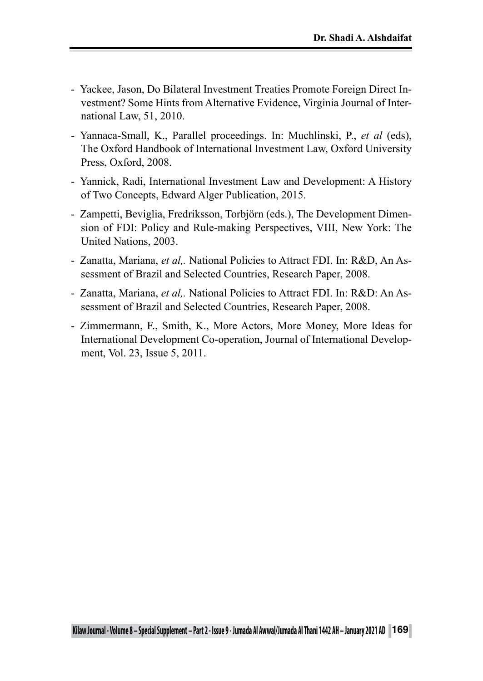- Yackee, Jason, Do Bilateral Investment Treaties Promote Foreign Direct Investment? Some Hints from Alternative Evidence, Virginia Journal of International Law, 51, 2010.
- Yannaca-Small, K., Parallel proceedings. In: Muchlinski, P., *et al* (eds), The Oxford Handbook of International Investment Law, Oxford University Press, Oxford, 2008.
- Yannick, Radi, International Investment Law and Development: A History of Two Concepts, Edward Alger Publication, 2015.
- Zampetti, Beviglia, Fredriksson, Torbjörn (eds.), The Development Dimension of FDI: Policy and Rule-making Perspectives, VIII, New York: The United Nations, 2003.
- Zanatta, Mariana, *et al,.* National Policies to Attract FDI. In: R&D, An Assessment of Brazil and Selected Countries, Research Paper, 2008.
- Zanatta, Mariana, *et al,.* National Policies to Attract FDI. In: R&D: An Assessment of Brazil and Selected Countries, Research Paper, 2008.
- Zimmermann, F., Smith, K., More Actors, More Money, More Ideas for International Development Co-operation, Journal of International Development, Vol. 23, Issue 5, 2011.